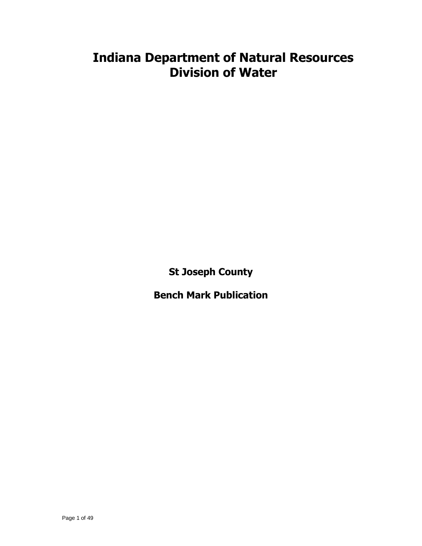# **Indiana Department of Natural Resources Division of Water**

**St Joseph County**

**Bench Mark Publication**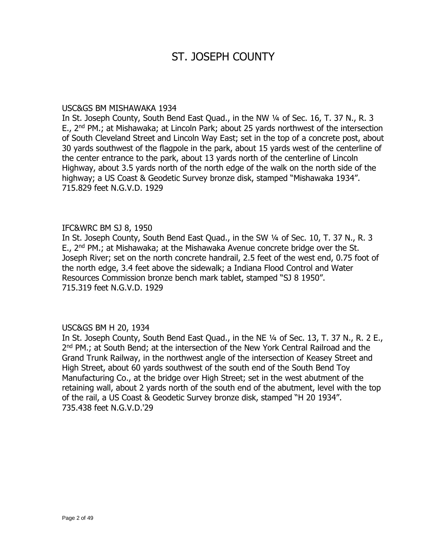# ST. JOSEPH COUNTY

### USC&GS BM MISHAWAKA 1934

In St. Joseph County, South Bend East Quad., in the NW ¼ of Sec. 16, T. 37 N., R. 3 E., 2<sup>nd</sup> PM.; at Mishawaka; at Lincoln Park; about 25 yards northwest of the intersection of South Cleveland Street and Lincoln Way East; set in the top of a concrete post, about 30 yards southwest of the flagpole in the park, about 15 yards west of the centerline of the center entrance to the park, about 13 yards north of the centerline of Lincoln Highway, about 3.5 yards north of the north edge of the walk on the north side of the highway; a US Coast & Geodetic Survey bronze disk, stamped "Mishawaka 1934". 715.829 feet N.G.V.D. 1929

### IFC&WRC BM SJ 8, 1950

In St. Joseph County, South Bend East Quad., in the SW ¼ of Sec. 10, T. 37 N., R. 3 E., 2<sup>nd</sup> PM.; at Mishawaka; at the Mishawaka Avenue concrete bridge over the St. Joseph River; set on the north concrete handrail, 2.5 feet of the west end, 0.75 foot of the north edge, 3.4 feet above the sidewalk; a Indiana Flood Control and Water Resources Commission bronze bench mark tablet, stamped "SJ 8 1950". 715.319 feet N.G.V.D. 1929

# USC&GS BM H 20, 1934

In St. Joseph County, South Bend East Quad., in the NE ¼ of Sec. 13, T. 37 N., R. 2 E., 2<sup>nd</sup> PM.; at South Bend; at the intersection of the New York Central Railroad and the Grand Trunk Railway, in the northwest angle of the intersection of Keasey Street and High Street, about 60 yards southwest of the south end of the South Bend Toy Manufacturing Co., at the bridge over High Street; set in the west abutment of the retaining wall, about 2 yards north of the south end of the abutment, level with the top of the rail, a US Coast & Geodetic Survey bronze disk, stamped "H 20 1934". 735.438 feet N.G.V.D.'29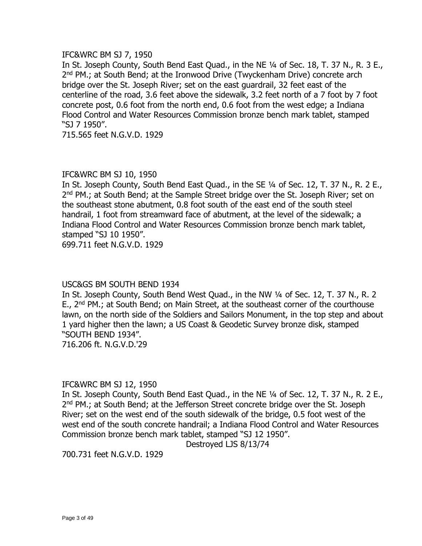### IFC&WRC BM SJ 7, 1950

In St. Joseph County, South Bend East Quad., in the NE 1/4 of Sec. 18, T. 37 N., R. 3 E., 2<sup>nd</sup> PM.; at South Bend; at the Ironwood Drive (Twyckenham Drive) concrete arch bridge over the St. Joseph River; set on the east guardrail, 32 feet east of the centerline of the road, 3.6 feet above the sidewalk, 3.2 feet north of a 7 foot by 7 foot concrete post, 0.6 foot from the north end, 0.6 foot from the west edge; a Indiana Flood Control and Water Resources Commission bronze bench mark tablet, stamped "SJ 7 1950".

715.565 feet N.G.V.D. 1929

### IFC&WRC BM SJ 10, 1950

In St. Joseph County, South Bend East Quad., in the SE ¼ of Sec. 12, T. 37 N., R. 2 E., 2<sup>nd</sup> PM.; at South Bend; at the Sample Street bridge over the St. Joseph River; set on the southeast stone abutment, 0.8 foot south of the east end of the south steel handrail, 1 foot from streamward face of abutment, at the level of the sidewalk; a Indiana Flood Control and Water Resources Commission bronze bench mark tablet, stamped "SJ 10 1950".

699.711 feet N.G.V.D. 1929

# USC&GS BM SOUTH BEND 1934

In St. Joseph County, South Bend West Quad., in the NW 1/4 of Sec. 12, T. 37 N., R. 2 E., 2<sup>nd</sup> PM.; at South Bend; on Main Street, at the southeast corner of the courthouse lawn, on the north side of the Soldiers and Sailors Monument, in the top step and about 1 yard higher then the lawn; a US Coast & Geodetic Survey bronze disk, stamped "SOUTH BEND 1934".

716.206 ft. N.G.V.D.'29

# IFC&WRC BM SJ 12, 1950

In St. Joseph County, South Bend East Quad., in the NE 1/4 of Sec. 12, T. 37 N., R. 2 E., 2<sup>nd</sup> PM.; at South Bend; at the Jefferson Street concrete bridge over the St. Joseph River; set on the west end of the south sidewalk of the bridge, 0.5 foot west of the west end of the south concrete handrail; a Indiana Flood Control and Water Resources Commission bronze bench mark tablet, stamped "SJ 12 1950".

Destroyed LJS 8/13/74

700.731 feet N.G.V.D. 1929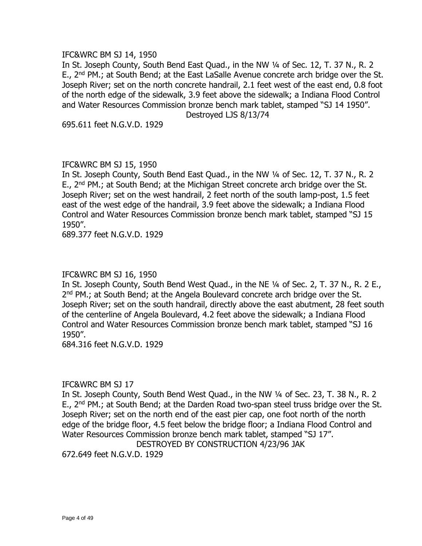### IFC&WRC BM SJ 14, 1950

In St. Joseph County, South Bend East Quad., in the NW 1/4 of Sec. 12, T. 37 N., R. 2 E., 2<sup>nd</sup> PM.; at South Bend; at the East LaSalle Avenue concrete arch bridge over the St. Joseph River; set on the north concrete handrail, 2.1 feet west of the east end, 0.8 foot of the north edge of the sidewalk, 3.9 feet above the sidewalk; a Indiana Flood Control and Water Resources Commission bronze bench mark tablet, stamped "SJ 14 1950".

Destroyed LJS 8/13/74

695.611 feet N.G.V.D. 1929

# IFC&WRC BM SJ 15, 1950

In St. Joseph County, South Bend East Quad., in the NW ¼ of Sec. 12, T. 37 N., R. 2 E., 2<sup>nd</sup> PM.; at South Bend; at the Michigan Street concrete arch bridge over the St. Joseph River; set on the west handrail, 2 feet north of the south lamp-post, 1.5 feet east of the west edge of the handrail, 3.9 feet above the sidewalk; a Indiana Flood Control and Water Resources Commission bronze bench mark tablet, stamped "SJ 15 1950".

689.377 feet N.G.V.D. 1929

# IFC&WRC BM SJ 16, 1950

In St. Joseph County, South Bend West Quad., in the NE ¼ of Sec. 2, T. 37 N., R. 2 E., 2<sup>nd</sup> PM.; at South Bend; at the Angela Boulevard concrete arch bridge over the St. Joseph River; set on the south handrail, directly above the east abutment, 28 feet south of the centerline of Angela Boulevard, 4.2 feet above the sidewalk; a Indiana Flood Control and Water Resources Commission bronze bench mark tablet, stamped "SJ 16 1950".

684.316 feet N.G.V.D. 1929

# IFC&WRC BM SJ 17

In St. Joseph County, South Bend West Quad., in the NW 1/4 of Sec. 23, T. 38 N., R. 2 E., 2<sup>nd</sup> PM.; at South Bend; at the Darden Road two-span steel truss bridge over the St. Joseph River; set on the north end of the east pier cap, one foot north of the north edge of the bridge floor, 4.5 feet below the bridge floor; a Indiana Flood Control and Water Resources Commission bronze bench mark tablet, stamped "SJ 17".

DESTROYED BY CONSTRUCTION 4/23/96 JAK

672.649 feet N.G.V.D. 1929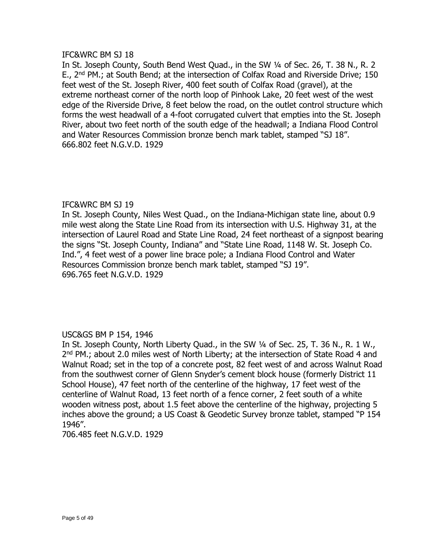# IFC&WRC BM SJ 18

In St. Joseph County, South Bend West Quad., in the SW 1/4 of Sec. 26, T. 38 N., R. 2 E., 2<sup>nd</sup> PM.; at South Bend; at the intersection of Colfax Road and Riverside Drive; 150 feet west of the St. Joseph River, 400 feet south of Colfax Road (gravel), at the extreme northeast corner of the north loop of Pinhook Lake, 20 feet west of the west edge of the Riverside Drive, 8 feet below the road, on the outlet control structure which forms the west headwall of a 4-foot corrugated culvert that empties into the St. Joseph River, about two feet north of the south edge of the headwall; a Indiana Flood Control and Water Resources Commission bronze bench mark tablet, stamped "SJ 18". 666.802 feet N.G.V.D. 1929

# IFC&WRC BM SJ 19

In St. Joseph County, Niles West Quad., on the Indiana-Michigan state line, about 0.9 mile west along the State Line Road from its intersection with U.S. Highway 31, at the intersection of Laurel Road and State Line Road, 24 feet northeast of a signpost bearing the signs "St. Joseph County, Indiana" and "State Line Road, 1148 W. St. Joseph Co. Ind.", 4 feet west of a power line brace pole; a Indiana Flood Control and Water Resources Commission bronze bench mark tablet, stamped "SJ 19". 696.765 feet N.G.V.D. 1929

# USC&GS BM P 154, 1946

In St. Joseph County, North Liberty Quad., in the SW ¼ of Sec. 25, T. 36 N., R. 1 W., 2<sup>nd</sup> PM.; about 2.0 miles west of North Liberty; at the intersection of State Road 4 and Walnut Road; set in the top of a concrete post, 82 feet west of and across Walnut Road from the southwest corner of Glenn Snyder's cement block house (formerly District 11 School House), 47 feet north of the centerline of the highway, 17 feet west of the centerline of Walnut Road, 13 feet north of a fence corner, 2 feet south of a white wooden witness post, about 1.5 feet above the centerline of the highway, projecting 5 inches above the ground; a US Coast & Geodetic Survey bronze tablet, stamped "P 154 1946".

706.485 feet N.G.V.D. 1929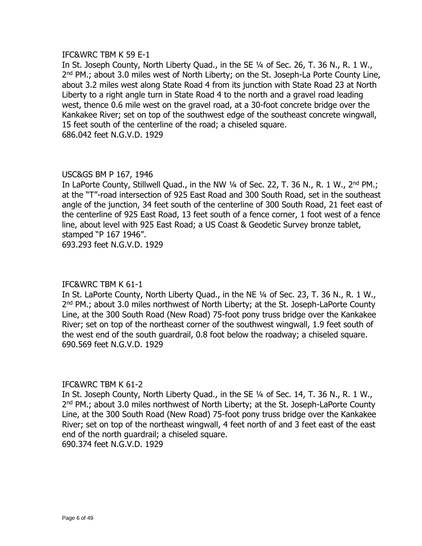### IFC&WRC TBM K 59 E-1

In St. Joseph County, North Liberty Quad., in the SE ¼ of Sec. 26, T. 36 N., R. 1 W., 2<sup>nd</sup> PM.; about 3.0 miles west of North Liberty; on the St. Joseph-La Porte County Line, about 3.2 miles west along State Road 4 from its junction with State Road 23 at North Liberty to a right angle turn in State Road 4 to the north and a gravel road leading west, thence 0.6 mile west on the gravel road, at a 30-foot concrete bridge over the Kankakee River; set on top of the southwest edge of the southeast concrete wingwall, 15 feet south of the centerline of the road; a chiseled square. 686.042 feet N.G.V.D. 1929

### USC&GS BM P 167, 1946

In LaPorte County, Stillwell Quad., in the NW  $\frac{1}{4}$  of Sec. 22, T. 36 N., R. 1 W., 2<sup>nd</sup> PM.; at the "T"-road intersection of 925 East Road and 300 South Road, set in the southeast angle of the junction, 34 feet south of the centerline of 300 South Road, 21 feet east of the centerline of 925 East Road, 13 feet south of a fence corner, 1 foot west of a fence line, about level with 925 East Road; a US Coast & Geodetic Survey bronze tablet, stamped "P 167 1946". 693.293 feet N.G.V.D. 1929

# IFC&WRC TBM K 61-1

In St. LaPorte County, North Liberty Quad., in the NE ¼ of Sec. 23, T. 36 N., R. 1 W., 2<sup>nd</sup> PM.; about 3.0 miles northwest of North Liberty; at the St. Joseph-LaPorte County Line, at the 300 South Road (New Road) 75-foot pony truss bridge over the Kankakee River; set on top of the northeast corner of the southwest wingwall, 1.9 feet south of the west end of the south guardrail, 0.8 foot below the roadway; a chiseled square. 690.569 feet N.G.V.D. 1929

#### IFC&WRC TBM K 61-2

In St. Joseph County, North Liberty Quad., in the SE 1/4 of Sec. 14, T. 36 N., R. 1 W., 2<sup>nd</sup> PM.; about 3.0 miles northwest of North Liberty; at the St. Joseph-LaPorte County Line, at the 300 South Road (New Road) 75-foot pony truss bridge over the Kankakee River; set on top of the northeast wingwall, 4 feet north of and 3 feet east of the east end of the north guardrail; a chiseled square. 690.374 feet N.G.V.D. 1929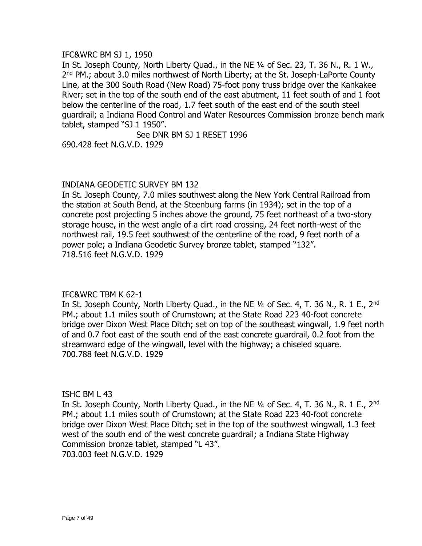# IFC&WRC BM SJ 1, 1950

In St. Joseph County, North Liberty Quad., in the NE ¼ of Sec. 23, T. 36 N., R. 1 W., 2<sup>nd</sup> PM.; about 3.0 miles northwest of North Liberty; at the St. Joseph-LaPorte County Line, at the 300 South Road (New Road) 75-foot pony truss bridge over the Kankakee River; set in the top of the south end of the east abutment, 11 feet south of and 1 foot below the centerline of the road, 1.7 feet south of the east end of the south steel guardrail; a Indiana Flood Control and Water Resources Commission bronze bench mark tablet, stamped "SJ 1 1950".

See DNR BM SJ 1 RESET 1996

690.428 feet N.G.V.D. 1929

# INDIANA GEODETIC SURVEY BM 132

In St. Joseph County, 7.0 miles southwest along the New York Central Railroad from the station at South Bend, at the Steenburg farms (in 1934); set in the top of a concrete post projecting 5 inches above the ground, 75 feet northeast of a two-story storage house, in the west angle of a dirt road crossing, 24 feet north-west of the northwest rail, 19.5 feet southwest of the centerline of the road, 9 feet north of a power pole; a Indiana Geodetic Survey bronze tablet, stamped "132". 718.516 feet N.G.V.D. 1929

# IFC&WRC TBM K 62-1

In St. Joseph County, North Liberty Quad., in the NE  $\frac{1}{4}$  of Sec. 4, T. 36 N., R. 1 E., 2<sup>nd</sup> PM.; about 1.1 miles south of Crumstown; at the State Road 223 40-foot concrete bridge over Dixon West Place Ditch; set on top of the southeast wingwall, 1.9 feet north of and 0.7 foot east of the south end of the east concrete guardrail, 0.2 foot from the streamward edge of the wingwall, level with the highway; a chiseled square. 700.788 feet N.G.V.D. 1929

# ISHC BM L 43

In St. Joseph County, North Liberty Quad., in the NE  $\frac{1}{4}$  of Sec. 4, T. 36 N., R. 1 E., 2<sup>nd</sup> PM.; about 1.1 miles south of Crumstown; at the State Road 223 40-foot concrete bridge over Dixon West Place Ditch; set in the top of the southwest wingwall, 1.3 feet west of the south end of the west concrete guardrail; a Indiana State Highway Commission bronze tablet, stamped "L 43". 703.003 feet N.G.V.D. 1929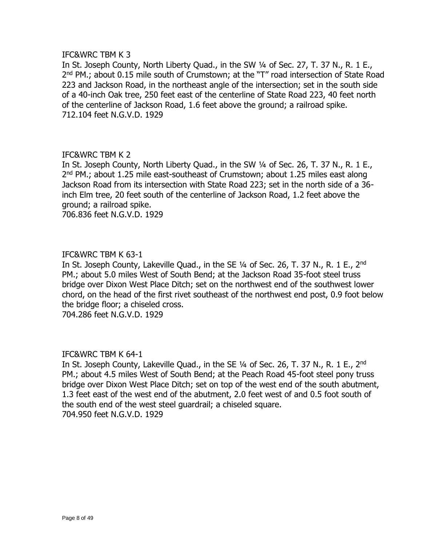# IFC&WRC TBM K 3

In St. Joseph County, North Liberty Quad., in the SW 1/4 of Sec. 27, T. 37 N., R. 1 E., 2<sup>nd</sup> PM.; about 0.15 mile south of Crumstown; at the "T" road intersection of State Road 223 and Jackson Road, in the northeast angle of the intersection; set in the south side of a 40-inch Oak tree, 250 feet east of the centerline of State Road 223, 40 feet north of the centerline of Jackson Road, 1.6 feet above the ground; a railroad spike. 712.104 feet N.G.V.D. 1929

# IFC&WRC TBM K 2

In St. Joseph County, North Liberty Quad., in the SW ¼ of Sec. 26, T. 37 N., R. 1 E., 2<sup>nd</sup> PM.; about 1.25 mile east-southeast of Crumstown; about 1.25 miles east along Jackson Road from its intersection with State Road 223; set in the north side of a 36 inch Elm tree, 20 feet south of the centerline of Jackson Road, 1.2 feet above the ground; a railroad spike.

706.836 feet N.G.V.D. 1929

# IFC&WRC TBM K 63-1

In St. Joseph County, Lakeville Quad., in the SE  $\frac{1}{4}$  of Sec. 26, T. 37 N., R. 1 E., 2<sup>nd</sup> PM.; about 5.0 miles West of South Bend; at the Jackson Road 35-foot steel truss bridge over Dixon West Place Ditch; set on the northwest end of the southwest lower chord, on the head of the first rivet southeast of the northwest end post, 0.9 foot below the bridge floor; a chiseled cross.

704.286 feet N.G.V.D. 1929

#### IFC&WRC TBM K 64-1

In St. Joseph County, Lakeville Quad., in the SE  $\frac{1}{4}$  of Sec. 26, T. 37 N., R. 1 E., 2<sup>nd</sup> PM.; about 4.5 miles West of South Bend; at the Peach Road 45-foot steel pony truss bridge over Dixon West Place Ditch; set on top of the west end of the south abutment, 1.3 feet east of the west end of the abutment, 2.0 feet west of and 0.5 foot south of the south end of the west steel guardrail; a chiseled square. 704.950 feet N.G.V.D. 1929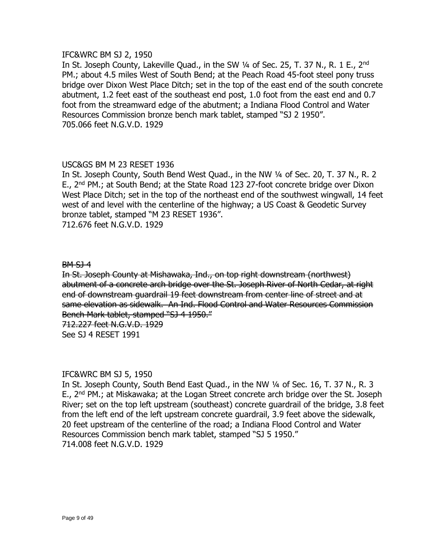# IFC&WRC BM SJ 2, 1950

In St. Joseph County, Lakeville Quad., in the SW 1/4 of Sec. 25, T. 37 N., R. 1 E., 2<sup>nd</sup> PM.; about 4.5 miles West of South Bend; at the Peach Road 45-foot steel pony truss bridge over Dixon West Place Ditch; set in the top of the east end of the south concrete abutment, 1.2 feet east of the southeast end post, 1.0 foot from the east end and 0.7 foot from the streamward edge of the abutment; a Indiana Flood Control and Water Resources Commission bronze bench mark tablet, stamped "SJ 2 1950". 705.066 feet N.G.V.D. 1929

# USC&GS BM M 23 RESET 1936

In St. Joseph County, South Bend West Quad., in the NW 1/4 of Sec. 20, T. 37 N., R. 2 E., 2<sup>nd</sup> PM.; at South Bend; at the State Road 123 27-foot concrete bridge over Dixon West Place Ditch; set in the top of the northeast end of the southwest wingwall, 14 feet west of and level with the centerline of the highway; a US Coast & Geodetic Survey bronze tablet, stamped "M 23 RESET 1936". 712.676 feet N.G.V.D. 1929

#### BM SJ 4

In St. Joseph County at Mishawaka, Ind., on top right downstream (northwest) abutment of a concrete arch bridge over the St. Joseph River of North Cedar, at right end of downstream guardrail 19 feet downstream from center line of street and at same elevation as sidewalk. An Ind. Flood Control and Water Resources Commission Bench Mark tablet, stamped "SJ 4 1950."

712.227 feet N.G.V.D. 1929 See SJ 4 RESET 1991

#### IFC&WRC BM SJ 5, 1950

In St. Joseph County, South Bend East Quad., in the NW ¼ of Sec. 16, T. 37 N., R. 3 E., 2<sup>nd</sup> PM.; at Miskawaka; at the Logan Street concrete arch bridge over the St. Joseph River; set on the top left upstream (southeast) concrete guardrail of the bridge, 3.8 feet from the left end of the left upstream concrete guardrail, 3.9 feet above the sidewalk, 20 feet upstream of the centerline of the road; a Indiana Flood Control and Water Resources Commission bench mark tablet, stamped "SJ 5 1950." 714.008 feet N.G.V.D. 1929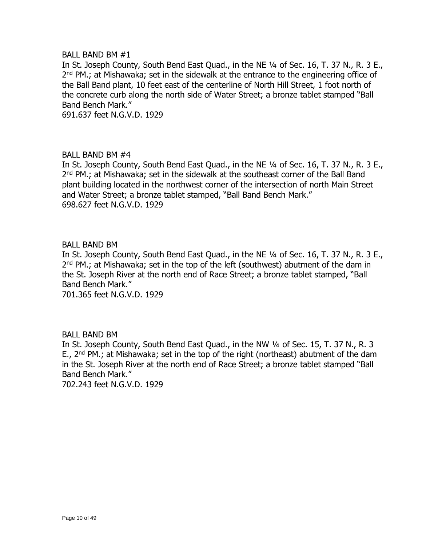#### BALL BAND BM #1

In St. Joseph County, South Bend East Quad., in the NE ¼ of Sec. 16, T. 37 N., R. 3 E., 2<sup>nd</sup> PM.; at Mishawaka; set in the sidewalk at the entrance to the engineering office of the Ball Band plant, 10 feet east of the centerline of North Hill Street, 1 foot north of the concrete curb along the north side of Water Street; a bronze tablet stamped "Ball Band Bench Mark."

691.637 feet N.G.V.D. 1929

# BALL BAND BM #4

In St. Joseph County, South Bend East Quad., in the NE ¼ of Sec. 16, T. 37 N., R. 3 E., 2<sup>nd</sup> PM.; at Mishawaka; set in the sidewalk at the southeast corner of the Ball Band plant building located in the northwest corner of the intersection of north Main Street and Water Street; a bronze tablet stamped, "Ball Band Bench Mark." 698.627 feet N.G.V.D. 1929

### BALL BAND BM

In St. Joseph County, South Bend East Quad., in the NE ¼ of Sec. 16, T. 37 N., R. 3 E., 2<sup>nd</sup> PM.; at Mishawaka; set in the top of the left (southwest) abutment of the dam in the St. Joseph River at the north end of Race Street; a bronze tablet stamped, "Ball Band Bench Mark." 701.365 feet N.G.V.D. 1929

# BALL BAND BM

In St. Joseph County, South Bend East Quad., in the NW ¼ of Sec. 15, T. 37 N., R. 3 E.,  $2^{nd}$  PM.; at Mishawaka; set in the top of the right (northeast) abutment of the dam in the St. Joseph River at the north end of Race Street; a bronze tablet stamped "Ball Band Bench Mark."

702.243 feet N.G.V.D. 1929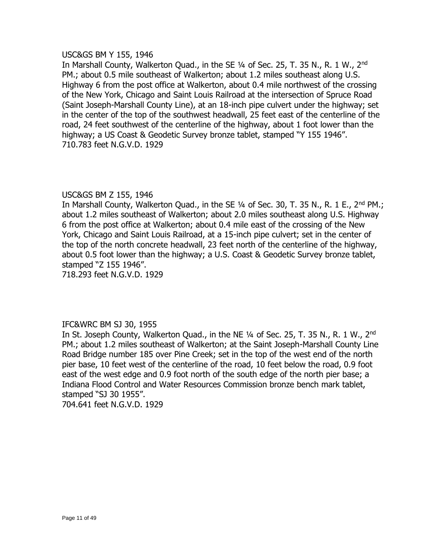#### USC&GS BM Y 155, 1946

In Marshall County, Walkerton Quad., in the SE 1/4 of Sec. 25, T. 35 N., R. 1 W., 2<sup>nd</sup> PM.; about 0.5 mile southeast of Walkerton; about 1.2 miles southeast along U.S. Highway 6 from the post office at Walkerton, about 0.4 mile northwest of the crossing of the New York, Chicago and Saint Louis Railroad at the intersection of Spruce Road (Saint Joseph-Marshall County Line), at an 18-inch pipe culvert under the highway; set in the center of the top of the southwest headwall, 25 feet east of the centerline of the road, 24 feet southwest of the centerline of the highway, about 1 foot lower than the highway; a US Coast & Geodetic Survey bronze tablet, stamped "Y 155 1946". 710.783 feet N.G.V.D. 1929

# USC&GS BM Z 155, 1946

In Marshall County, Walkerton Quad., in the SE 1/4 of Sec. 30, T. 35 N., R. 1 E., 2<sup>nd</sup> PM.; about 1.2 miles southeast of Walkerton; about 2.0 miles southeast along U.S. Highway 6 from the post office at Walkerton; about 0.4 mile east of the crossing of the New York, Chicago and Saint Louis Railroad, at a 15-inch pipe culvert; set in the center of the top of the north concrete headwall, 23 feet north of the centerline of the highway, about 0.5 foot lower than the highway; a U.S. Coast & Geodetic Survey bronze tablet, stamped "Z 155 1946".

718.293 feet N.G.V.D. 1929

# IFC&WRC BM SJ 30, 1955

In St. Joseph County, Walkerton Quad., in the NE 1/4 of Sec. 25, T. 35 N., R. 1 W., 2<sup>nd</sup> PM.; about 1.2 miles southeast of Walkerton; at the Saint Joseph-Marshall County Line Road Bridge number 185 over Pine Creek; set in the top of the west end of the north pier base, 10 feet west of the centerline of the road, 10 feet below the road, 0.9 foot east of the west edge and 0.9 foot north of the south edge of the north pier base; a Indiana Flood Control and Water Resources Commission bronze bench mark tablet, stamped "SJ 30 1955". 704.641 feet N.G.V.D. 1929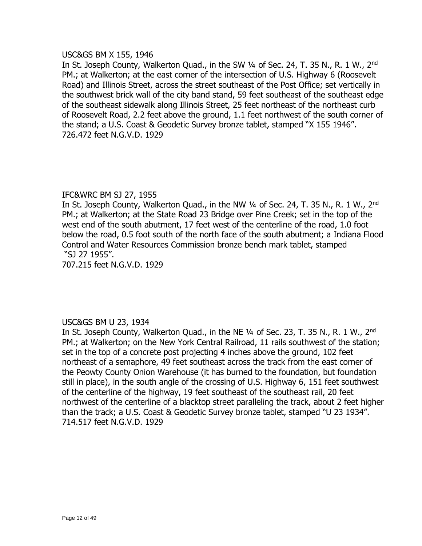#### USC&GS BM X 155, 1946

In St. Joseph County, Walkerton Quad., in the SW 1/4 of Sec. 24, T. 35 N., R. 1 W., 2<sup>nd</sup> PM.; at Walkerton; at the east corner of the intersection of U.S. Highway 6 (Roosevelt Road) and Illinois Street, across the street southeast of the Post Office; set vertically in the southwest brick wall of the city band stand, 59 feet southeast of the southeast edge of the southeast sidewalk along Illinois Street, 25 feet northeast of the northeast curb of Roosevelt Road, 2.2 feet above the ground, 1.1 feet northwest of the south corner of the stand; a U.S. Coast & Geodetic Survey bronze tablet, stamped "X 155 1946". 726.472 feet N.G.V.D. 1929

# IFC&WRC BM SJ 27, 1955

In St. Joseph County, Walkerton Quad., in the NW 1/4 of Sec. 24, T. 35 N., R. 1 W., 2<sup>nd</sup> PM.; at Walkerton; at the State Road 23 Bridge over Pine Creek; set in the top of the west end of the south abutment, 17 feet west of the centerline of the road, 1.0 foot below the road, 0.5 foot south of the north face of the south abutment; a Indiana Flood Control and Water Resources Commission bronze bench mark tablet, stamped "SJ 27 1955".

707.215 feet N.G.V.D. 1929

# USC&GS BM U 23, 1934

In St. Joseph County, Walkerton Quad., in the NE  $1/4$  of Sec. 23, T. 35 N., R. 1 W., 2<sup>nd</sup> PM.; at Walkerton; on the New York Central Railroad, 11 rails southwest of the station; set in the top of a concrete post projecting 4 inches above the ground, 102 feet northeast of a semaphore, 49 feet southeast across the track from the east corner of the Peowty County Onion Warehouse (it has burned to the foundation, but foundation still in place), in the south angle of the crossing of U.S. Highway 6, 151 feet southwest of the centerline of the highway, 19 feet southeast of the southeast rail, 20 feet northwest of the centerline of a blacktop street paralleling the track, about 2 feet higher than the track; a U.S. Coast & Geodetic Survey bronze tablet, stamped "U 23 1934". 714.517 feet N.G.V.D. 1929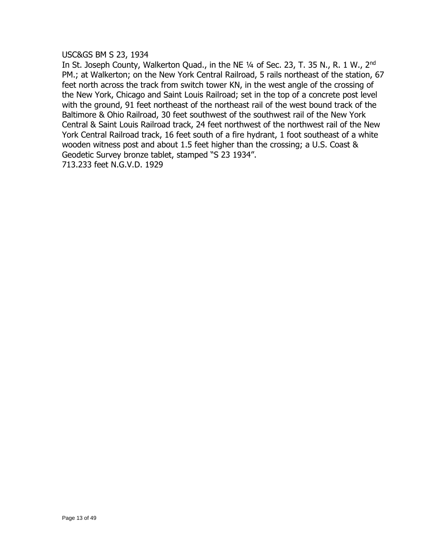USC&GS BM S 23, 1934

In St. Joseph County, Walkerton Quad., in the NE 1/4 of Sec. 23, T. 35 N., R. 1 W., 2<sup>nd</sup> PM.; at Walkerton; on the New York Central Railroad, 5 rails northeast of the station, 67 feet north across the track from switch tower KN, in the west angle of the crossing of the New York, Chicago and Saint Louis Railroad; set in the top of a concrete post level with the ground, 91 feet northeast of the northeast rail of the west bound track of the Baltimore & Ohio Railroad, 30 feet southwest of the southwest rail of the New York Central & Saint Louis Railroad track, 24 feet northwest of the northwest rail of the New York Central Railroad track, 16 feet south of a fire hydrant, 1 foot southeast of a white wooden witness post and about 1.5 feet higher than the crossing; a U.S. Coast & Geodetic Survey bronze tablet, stamped "S 23 1934".

713.233 feet N.G.V.D. 1929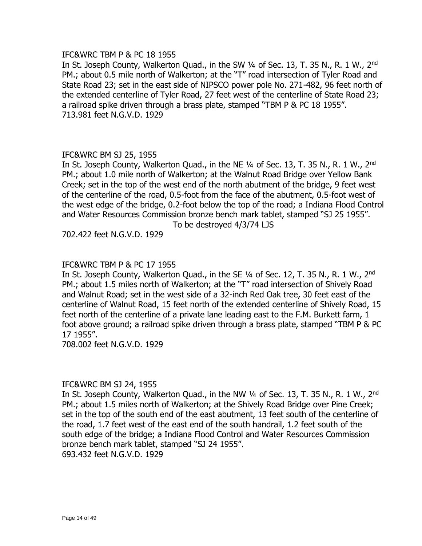### IFC&WRC TBM P & PC 18 1955

In St. Joseph County, Walkerton Quad., in the SW 1/4 of Sec. 13, T. 35 N., R. 1 W., 2<sup>nd</sup> PM.; about 0.5 mile north of Walkerton; at the "T" road intersection of Tyler Road and State Road 23; set in the east side of NIPSCO power pole No. 271-482, 96 feet north of the extended centerline of Tyler Road, 27 feet west of the centerline of State Road 23; a railroad spike driven through a brass plate, stamped "TBM P & PC 18 1955". 713.981 feet N.G.V.D. 1929

### IFC&WRC BM SJ 25, 1955

In St. Joseph County, Walkerton Quad., in the NE  $\frac{1}{4}$  of Sec. 13, T. 35 N., R. 1 W., 2<sup>nd</sup> PM.; about 1.0 mile north of Walkerton; at the Walnut Road Bridge over Yellow Bank Creek; set in the top of the west end of the north abutment of the bridge, 9 feet west of the centerline of the road, 0.5-foot from the face of the abutment, 0.5-foot west of the west edge of the bridge, 0.2-foot below the top of the road; a Indiana Flood Control and Water Resources Commission bronze bench mark tablet, stamped "SJ 25 1955".

To be destroyed 4/3/74 LJS

702.422 feet N.G.V.D. 1929

# IFC&WRC TBM P & PC 17 1955

In St. Joseph County, Walkerton Quad., in the SE  $1/4$  of Sec. 12, T. 35 N., R. 1 W., 2<sup>nd</sup> PM.; about 1.5 miles north of Walkerton; at the "T" road intersection of Shively Road and Walnut Road; set in the west side of a 32-inch Red Oak tree, 30 feet east of the centerline of Walnut Road, 15 feet north of the extended centerline of Shively Road, 15 feet north of the centerline of a private lane leading east to the F.M. Burkett farm, 1 foot above ground; a railroad spike driven through a brass plate, stamped "TBM P & PC 17 1955".

708.002 feet N.G.V.D. 1929

#### IFC&WRC BM SJ 24, 1955

In St. Joseph County, Walkerton Quad., in the NW 1/4 of Sec. 13, T. 35 N., R. 1 W., 2<sup>nd</sup> PM.; about 1.5 miles north of Walkerton; at the Shively Road Bridge over Pine Creek; set in the top of the south end of the east abutment, 13 feet south of the centerline of the road, 1.7 feet west of the east end of the south handrail, 1.2 feet south of the south edge of the bridge; a Indiana Flood Control and Water Resources Commission bronze bench mark tablet, stamped "SJ 24 1955". 693.432 feet N.G.V.D. 1929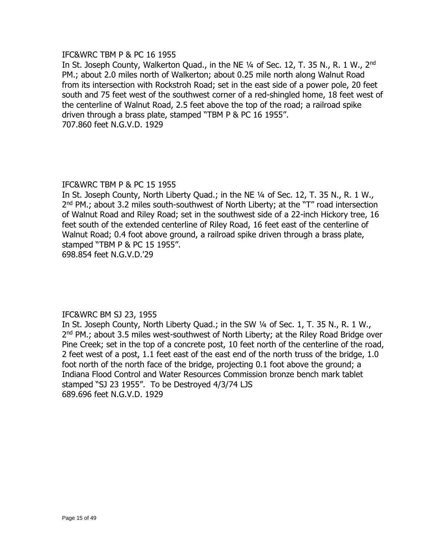# IFC&WRC TBM P & PC 16 1955

In St. Joseph County, Walkerton Ouad., in the NE 1/4 of Sec. 12, T. 35 N., R. 1 W., 2<sup>nd</sup> PM.; about 2.0 miles north of Walkerton; about 0.25 mile north along Walnut Road from its intersection with Rockstroh Road; set in the east side of a power pole, 20 feet south and 75 feet west of the southwest corner of a red-shingled home, 18 feet west of the centerline of Walnut Road, 2.5 feet above the top of the road; a railroad spike driven through a brass plate, stamped "TBM P & PC 16 1955". 707.860 feet N.G.V.D. 1929

# IFC&WRC TBM P & PC 15 1955

In St. Joseph County, North Liberty Quad.; in the NE ¼ of Sec. 12, T. 35 N., R. 1 W., 2<sup>nd</sup> PM.; about 3.2 miles south-southwest of North Liberty; at the "T" road intersection of Walnut Road and Riley Road; set in the southwest side of a 22-inch Hickory tree, 16 feet south of the extended centerline of Riley Road, 16 feet east of the centerline of Walnut Road; 0.4 foot above ground, a railroad spike driven through a brass plate, stamped "TBM P & PC 15 1955".

698.854 feet N.G.V.D.'29

# IFC&WRC BM SJ 23, 1955

In St. Joseph County, North Liberty Quad.; in the SW ¼ of Sec. 1, T. 35 N., R. 1 W., 2<sup>nd</sup> PM.; about 3.5 miles west-southwest of North Liberty; at the Riley Road Bridge over Pine Creek; set in the top of a concrete post, 10 feet north of the centerline of the road, 2 feet west of a post, 1.1 feet east of the east end of the north truss of the bridge, 1.0 foot north of the north face of the bridge, projecting 0.1 foot above the ground; a Indiana Flood Control and Water Resources Commission bronze bench mark tablet stamped "SJ 23 1955". To be Destroyed 4/3/74 LJS 689.696 feet N.G.V.D. 1929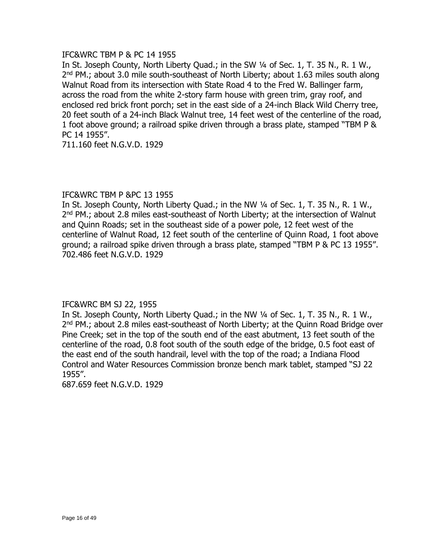# IFC&WRC TBM P & PC 14 1955

In St. Joseph County, North Liberty Quad.; in the SW ¼ of Sec. 1, T. 35 N., R. 1 W., 2<sup>nd</sup> PM.; about 3.0 mile south-southeast of North Liberty; about 1.63 miles south along Walnut Road from its intersection with State Road 4 to the Fred W. Ballinger farm, across the road from the white 2-story farm house with green trim, gray roof, and enclosed red brick front porch; set in the east side of a 24-inch Black Wild Cherry tree, 20 feet south of a 24-inch Black Walnut tree, 14 feet west of the centerline of the road, 1 foot above ground; a railroad spike driven through a brass plate, stamped "TBM P & PC 14 1955".

711.160 feet N.G.V.D. 1929

# IFC&WRC TBM P &PC 13 1955

In St. Joseph County, North Liberty Quad.; in the NW ¼ of Sec. 1, T. 35 N., R. 1 W., 2<sup>nd</sup> PM.; about 2.8 miles east-southeast of North Liberty; at the intersection of Walnut and Quinn Roads; set in the southeast side of a power pole, 12 feet west of the centerline of Walnut Road, 12 feet south of the centerline of Quinn Road, 1 foot above ground; a railroad spike driven through a brass plate, stamped "TBM P & PC 13 1955". 702.486 feet N.G.V.D. 1929

# IFC&WRC BM SJ 22, 1955

In St. Joseph County, North Liberty Quad.; in the NW ¼ of Sec. 1, T. 35 N., R. 1 W., 2<sup>nd</sup> PM.; about 2.8 miles east-southeast of North Liberty; at the Quinn Road Bridge over Pine Creek; set in the top of the south end of the east abutment, 13 feet south of the centerline of the road, 0.8 foot south of the south edge of the bridge, 0.5 foot east of the east end of the south handrail, level with the top of the road; a Indiana Flood Control and Water Resources Commission bronze bench mark tablet, stamped "SJ 22 1955".

687.659 feet N.G.V.D. 1929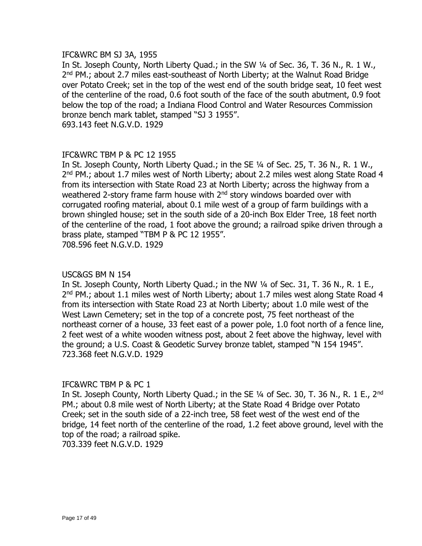# IFC&WRC BM SJ 3A, 1955

In St. Joseph County, North Liberty Quad.; in the SW 1/4 of Sec. 36, T. 36 N., R. 1 W., 2<sup>nd</sup> PM.; about 2.7 miles east-southeast of North Liberty; at the Walnut Road Bridge over Potato Creek; set in the top of the west end of the south bridge seat, 10 feet west of the centerline of the road, 0.6 foot south of the face of the south abutment, 0.9 foot below the top of the road; a Indiana Flood Control and Water Resources Commission bronze bench mark tablet, stamped "SJ 3 1955". 693.143 feet N.G.V.D. 1929

### IFC&WRC TBM P & PC 12 1955

In St. Joseph County, North Liberty Quad.; in the SE ¼ of Sec. 25, T. 36 N., R. 1 W., 2<sup>nd</sup> PM.; about 1.7 miles west of North Liberty; about 2.2 miles west along State Road 4 from its intersection with State Road 23 at North Liberty; across the highway from a weathered 2-story frame farm house with 2<sup>nd</sup> story windows boarded over with corrugated roofing material, about 0.1 mile west of a group of farm buildings with a brown shingled house; set in the south side of a 20-inch Box Elder Tree, 18 feet north of the centerline of the road, 1 foot above the ground; a railroad spike driven through a brass plate, stamped "TBM P & PC 12 1955". 708.596 feet N.G.V.D. 1929

#### USC&GS BM N 154

In St. Joseph County, North Liberty Quad.; in the NW ¼ of Sec. 31, T. 36 N., R. 1 E., 2<sup>nd</sup> PM.; about 1.1 miles west of North Liberty; about 1.7 miles west along State Road 4 from its intersection with State Road 23 at North Liberty; about 1.0 mile west of the West Lawn Cemetery; set in the top of a concrete post, 75 feet northeast of the northeast corner of a house, 33 feet east of a power pole, 1.0 foot north of a fence line, 2 feet west of a white wooden witness post, about 2 feet above the highway, level with the ground; a U.S. Coast & Geodetic Survey bronze tablet, stamped "N 154 1945". 723.368 feet N.G.V.D. 1929

#### IFC&WRC TBM P & PC 1

In St. Joseph County, North Liberty Quad.; in the SE 1/4 of Sec. 30, T. 36 N., R. 1 E., 2<sup>nd</sup> PM.; about 0.8 mile west of North Liberty; at the State Road 4 Bridge over Potato Creek; set in the south side of a 22-inch tree, 58 feet west of the west end of the bridge, 14 feet north of the centerline of the road, 1.2 feet above ground, level with the top of the road; a railroad spike.

703.339 feet N.G.V.D. 1929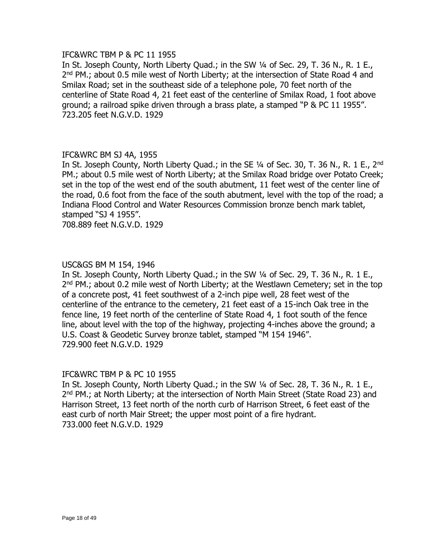### IFC&WRC TBM P & PC 11 1955

In St. Joseph County, North Liberty Quad.; in the SW ¼ of Sec. 29, T. 36 N., R. 1 E., 2<sup>nd</sup> PM.; about 0.5 mile west of North Liberty; at the intersection of State Road 4 and Smilax Road; set in the southeast side of a telephone pole, 70 feet north of the centerline of State Road 4, 21 feet east of the centerline of Smilax Road, 1 foot above ground; a railroad spike driven through a brass plate, a stamped "P & PC 11 1955". 723.205 feet N.G.V.D. 1929

# IFC&WRC BM SJ 4A, 1955

In St. Joseph County, North Liberty Quad.; in the SE 1/4 of Sec. 30, T. 36 N., R. 1 E., 2<sup>nd</sup> PM.; about 0.5 mile west of North Liberty; at the Smilax Road bridge over Potato Creek; set in the top of the west end of the south abutment, 11 feet west of the center line of the road, 0.6 foot from the face of the south abutment, level with the top of the road; a Indiana Flood Control and Water Resources Commission bronze bench mark tablet, stamped "SJ 4 1955".

708.889 feet N.G.V.D. 1929

### USC&GS BM M 154, 1946

In St. Joseph County, North Liberty Quad.; in the SW ¼ of Sec. 29, T. 36 N., R. 1 E., 2<sup>nd</sup> PM.; about 0.2 mile west of North Liberty; at the Westlawn Cemetery; set in the top of a concrete post, 41 feet southwest of a 2-inch pipe well, 28 feet west of the centerline of the entrance to the cemetery, 21 feet east of a 15-inch Oak tree in the fence line, 19 feet north of the centerline of State Road 4, 1 foot south of the fence line, about level with the top of the highway, projecting 4-inches above the ground; a U.S. Coast & Geodetic Survey bronze tablet, stamped "M 154 1946". 729.900 feet N.G.V.D. 1929

#### IFC&WRC TBM P & PC 10 1955

In St. Joseph County, North Liberty Quad.; in the SW 1/4 of Sec. 28, T. 36 N., R. 1 E., 2<sup>nd</sup> PM.; at North Liberty; at the intersection of North Main Street (State Road 23) and Harrison Street, 13 feet north of the north curb of Harrison Street, 6 feet east of the east curb of north Mair Street; the upper most point of a fire hydrant. 733.000 feet N.G.V.D. 1929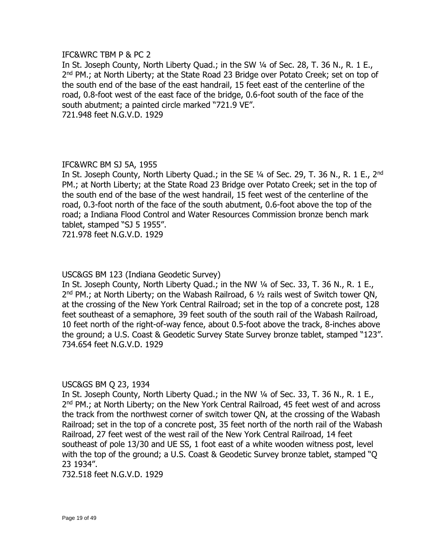#### IFC&WRC TBM P & PC 2

In St. Joseph County, North Liberty Quad.; in the SW 1/4 of Sec. 28, T. 36 N., R. 1 E., 2<sup>nd</sup> PM.; at North Liberty; at the State Road 23 Bridge over Potato Creek; set on top of the south end of the base of the east handrail, 15 feet east of the centerline of the road, 0.8-foot west of the east face of the bridge, 0.6-foot south of the face of the south abutment; a painted circle marked "721.9 VE". 721.948 feet N.G.V.D. 1929

# IFC&WRC BM SJ 5A, 1955

In St. Joseph County, North Liberty Quad.; in the SE 1/4 of Sec. 29, T. 36 N., R. 1 E., 2<sup>nd</sup> PM.; at North Liberty; at the State Road 23 Bridge over Potato Creek; set in the top of the south end of the base of the west handrail, 15 feet west of the centerline of the road, 0.3-foot north of the face of the south abutment, 0.6-foot above the top of the road; a Indiana Flood Control and Water Resources Commission bronze bench mark tablet, stamped "SJ 5 1955".

721.978 feet N.G.V.D. 1929

# USC&GS BM 123 (Indiana Geodetic Survey)

In St. Joseph County, North Liberty Quad.; in the NW ¼ of Sec. 33, T. 36 N., R. 1 E.,  $2<sup>nd</sup>$  PM.; at North Liberty; on the Wabash Railroad, 6  $\frac{1}{2}$  rails west of Switch tower QN, at the crossing of the New York Central Railroad; set in the top of a concrete post, 128 feet southeast of a semaphore, 39 feet south of the south rail of the Wabash Railroad, 10 feet north of the right-of-way fence, about 0.5-foot above the track, 8-inches above the ground; a U.S. Coast & Geodetic Survey State Survey bronze tablet, stamped "123". 734.654 feet N.G.V.D. 1929

# USC&GS BM Q 23, 1934

In St. Joseph County, North Liberty Quad.; in the NW 1/4 of Sec. 33, T. 36 N., R. 1 E., 2<sup>nd</sup> PM.; at North Liberty; on the New York Central Railroad, 45 feet west of and across the track from the northwest corner of switch tower QN, at the crossing of the Wabash Railroad; set in the top of a concrete post, 35 feet north of the north rail of the Wabash Railroad, 27 feet west of the west rail of the New York Central Railroad, 14 feet southeast of pole 13/30 and UE SS, 1 foot east of a white wooden witness post, level with the top of the ground; a U.S. Coast & Geodetic Survey bronze tablet, stamped "Q 23 1934".

732.518 feet N.G.V.D. 1929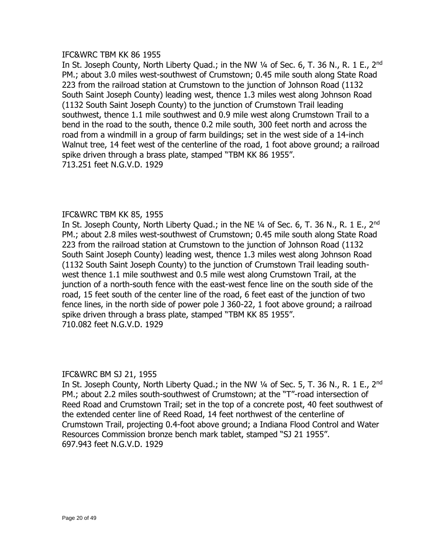#### IFC&WRC TBM KK 86 1955

In St. Joseph County, North Liberty Quad.; in the NW  $\frac{1}{4}$  of Sec. 6, T. 36 N., R. 1 E., 2<sup>nd</sup> PM.; about 3.0 miles west-southwest of Crumstown; 0.45 mile south along State Road 223 from the railroad station at Crumstown to the junction of Johnson Road (1132 South Saint Joseph County) leading west, thence 1.3 miles west along Johnson Road (1132 South Saint Joseph County) to the junction of Crumstown Trail leading southwest, thence 1.1 mile southwest and 0.9 mile west along Crumstown Trail to a bend in the road to the south, thence 0.2 mile south, 300 feet north and across the road from a windmill in a group of farm buildings; set in the west side of a 14-inch Walnut tree, 14 feet west of the centerline of the road, 1 foot above ground; a railroad spike driven through a brass plate, stamped "TBM KK 86 1955". 713.251 feet N.G.V.D. 1929

# IFC&WRC TBM KK 85, 1955

In St. Joseph County, North Liberty Quad.; in the NE  $\frac{1}{4}$  of Sec. 6, T. 36 N., R. 1 E., 2<sup>nd</sup> PM.; about 2.8 miles west-southwest of Crumstown; 0.45 mile south along State Road 223 from the railroad station at Crumstown to the junction of Johnson Road (1132 South Saint Joseph County) leading west, thence 1.3 miles west along Johnson Road (1132 South Saint Joseph County) to the junction of Crumstown Trail leading southwest thence 1.1 mile southwest and 0.5 mile west along Crumstown Trail, at the junction of a north-south fence with the east-west fence line on the south side of the road, 15 feet south of the center line of the road, 6 feet east of the junction of two fence lines, in the north side of power pole J 360-22, 1 foot above ground; a railroad spike driven through a brass plate, stamped "TBM KK 85 1955". 710.082 feet N.G.V.D. 1929

# IFC&WRC BM SJ 21, 1955

In St. Joseph County, North Liberty Quad.; in the NW  $\frac{1}{4}$  of Sec. 5, T. 36 N., R. 1 E., 2<sup>nd</sup> PM.; about 2.2 miles south-southwest of Crumstown; at the "T"-road intersection of Reed Road and Crumstown Trail; set in the top of a concrete post, 40 feet southwest of the extended center line of Reed Road, 14 feet northwest of the centerline of Crumstown Trail, projecting 0.4-foot above ground; a Indiana Flood Control and Water Resources Commission bronze bench mark tablet, stamped "SJ 21 1955". 697.943 feet N.G.V.D. 1929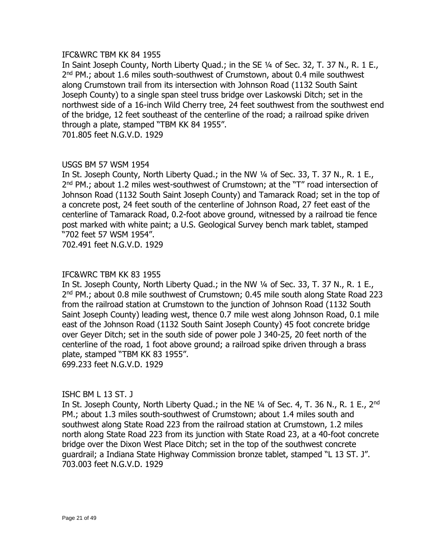#### IFC&WRC TBM KK 84 1955

In Saint Joseph County, North Liberty Quad.; in the SE 1/4 of Sec. 32, T. 37 N., R. 1 E., 2<sup>nd</sup> PM.; about 1.6 miles south-southwest of Crumstown, about 0.4 mile southwest along Crumstown trail from its intersection with Johnson Road (1132 South Saint Joseph County) to a single span steel truss bridge over Laskowski Ditch; set in the northwest side of a 16-inch Wild Cherry tree, 24 feet southwest from the southwest end of the bridge, 12 feet southeast of the centerline of the road; a railroad spike driven through a plate, stamped "TBM KK 84 1955". 701.805 feet N.G.V.D. 1929

### USGS BM 57 WSM 1954

In St. Joseph County, North Liberty Quad.; in the NW 1/4 of Sec. 33, T. 37 N., R. 1 E., 2<sup>nd</sup> PM.; about 1.2 miles west-southwest of Crumstown; at the "T" road intersection of Johnson Road (1132 South Saint Joseph County) and Tamarack Road; set in the top of a concrete post, 24 feet south of the centerline of Johnson Road, 27 feet east of the centerline of Tamarack Road, 0.2-foot above ground, witnessed by a railroad tie fence post marked with white paint; a U.S. Geological Survey bench mark tablet, stamped "702 feet 57 WSM 1954".

702.491 feet N.G.V.D. 1929

# IFC&WRC TBM KK 83 1955

In St. Joseph County, North Liberty Quad.; in the NW ¼ of Sec. 33, T. 37 N., R. 1 E., 2<sup>nd</sup> PM.; about 0.8 mile southwest of Crumstown; 0.45 mile south along State Road 223 from the railroad station at Crumstown to the junction of Johnson Road (1132 South Saint Joseph County) leading west, thence 0.7 mile west along Johnson Road, 0.1 mile east of the Johnson Road (1132 South Saint Joseph County) 45 foot concrete bridge over Geyer Ditch; set in the south side of power pole J 340-25, 20 feet north of the centerline of the road, 1 foot above ground; a railroad spike driven through a brass plate, stamped "TBM KK 83 1955". 699.233 feet N.G.V.D. 1929

# ISHC BM L 13 ST. J

In St. Joseph County, North Liberty Quad.; in the NE  $\frac{1}{4}$  of Sec. 4, T. 36 N., R. 1 E., 2<sup>nd</sup> PM.; about 1.3 miles south-southwest of Crumstown; about 1.4 miles south and southwest along State Road 223 from the railroad station at Crumstown, 1.2 miles north along State Road 223 from its junction with State Road 23, at a 40-foot concrete bridge over the Dixon West Place Ditch; set in the top of the southwest concrete guardrail; a Indiana State Highway Commission bronze tablet, stamped "L 13 ST. J". 703.003 feet N.G.V.D. 1929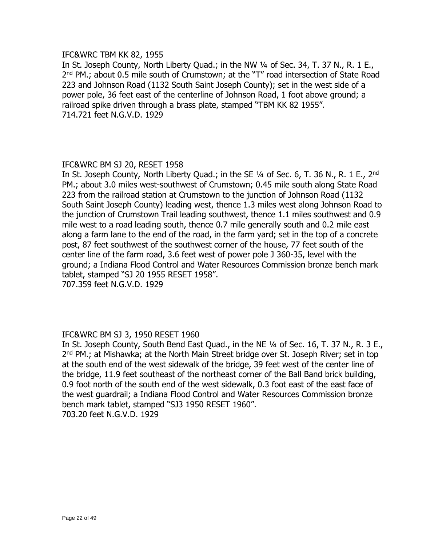### IFC&WRC TBM KK 82, 1955

In St. Joseph County, North Liberty Quad.; in the NW 1/4 of Sec. 34, T. 37 N., R. 1 E., 2<sup>nd</sup> PM.; about 0.5 mile south of Crumstown; at the "T" road intersection of State Road 223 and Johnson Road (1132 South Saint Joseph County); set in the west side of a power pole, 36 feet east of the centerline of Johnson Road, 1 foot above ground; a railroad spike driven through a brass plate, stamped "TBM KK 82 1955". 714.721 feet N.G.V.D. 1929

# IFC&WRC BM SJ 20, RESET 1958

In St. Joseph County, North Liberty Quad.; in the SE 1/4 of Sec. 6, T. 36 N., R. 1 E., 2<sup>nd</sup> PM.; about 3.0 miles west-southwest of Crumstown; 0.45 mile south along State Road 223 from the railroad station at Crumstown to the junction of Johnson Road (1132 South Saint Joseph County) leading west, thence 1.3 miles west along Johnson Road to the junction of Crumstown Trail leading southwest, thence 1.1 miles southwest and 0.9 mile west to a road leading south, thence 0.7 mile generally south and 0.2 mile east along a farm lane to the end of the road, in the farm yard; set in the top of a concrete post, 87 feet southwest of the southwest corner of the house, 77 feet south of the center line of the farm road, 3.6 feet west of power pole J 360-35, level with the ground; a Indiana Flood Control and Water Resources Commission bronze bench mark tablet, stamped "SJ 20 1955 RESET 1958". 707.359 feet N.G.V.D. 1929

# IFC&WRC BM SJ 3, 1950 RESET 1960

In St. Joseph County, South Bend East Quad., in the NE 1/4 of Sec. 16, T. 37 N., R. 3 E., 2<sup>nd</sup> PM.; at Mishawka; at the North Main Street bridge over St. Joseph River; set in top at the south end of the west sidewalk of the bridge, 39 feet west of the center line of the bridge, 11.9 feet southeast of the northeast corner of the Ball Band brick building, 0.9 foot north of the south end of the west sidewalk, 0.3 foot east of the east face of the west guardrail; a Indiana Flood Control and Water Resources Commission bronze bench mark tablet, stamped "SJ3 1950 RESET 1960". 703.20 feet N.G.V.D. 1929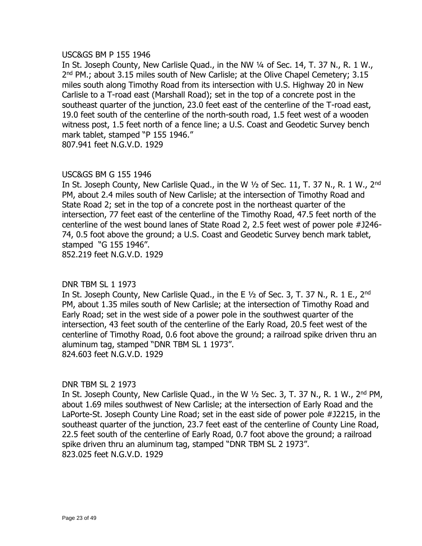#### USC&GS BM P 155 1946

In St. Joseph County, New Carlisle Quad., in the NW ¼ of Sec. 14, T. 37 N., R. 1 W., 2<sup>nd</sup> PM.; about 3.15 miles south of New Carlisle; at the Olive Chapel Cemetery; 3.15 miles south along Timothy Road from its intersection with U.S. Highway 20 in New Carlisle to a T-road east (Marshall Road); set in the top of a concrete post in the southeast quarter of the junction, 23.0 feet east of the centerline of the T-road east, 19.0 feet south of the centerline of the north-south road, 1.5 feet west of a wooden witness post, 1.5 feet north of a fence line; a U.S. Coast and Geodetic Survey bench mark tablet, stamped "P 155 1946."

807.941 feet N.G.V.D. 1929

### USC&GS BM G 155 1946

In St. Joseph County, New Carlisle Quad., in the W  $\frac{1}{2}$  of Sec. 11, T. 37 N., R. 1 W., 2<sup>nd</sup> PM, about 2.4 miles south of New Carlisle; at the intersection of Timothy Road and State Road 2; set in the top of a concrete post in the northeast quarter of the intersection, 77 feet east of the centerline of the Timothy Road, 47.5 feet north of the centerline of the west bound lanes of State Road 2, 2.5 feet west of power pole #J246- 74, 0.5 foot above the ground; a U.S. Coast and Geodetic Survey bench mark tablet, stamped "G 155 1946". 852.219 feet N.G.V.D. 1929

#### DNR TBM SL 1 1973

In St. Joseph County, New Carlisle Quad., in the E  $1/2$  of Sec. 3, T. 37 N., R. 1 E., 2<sup>nd</sup> PM, about 1.35 miles south of New Carlisle; at the intersection of Timothy Road and Early Road; set in the west side of a power pole in the southwest quarter of the intersection, 43 feet south of the centerline of the Early Road, 20.5 feet west of the centerline of Timothy Road, 0.6 foot above the ground; a railroad spike driven thru an aluminum tag, stamped "DNR TBM SL 1 1973". 824.603 feet N.G.V.D. 1929

#### DNR TBM SL 2 1973

In St. Joseph County, New Carlisle Quad., in the W  $\frac{1}{2}$  Sec. 3, T. 37 N., R. 1 W., 2<sup>nd</sup> PM, about 1.69 miles southwest of New Carlisle; at the intersection of Early Road and the LaPorte-St. Joseph County Line Road; set in the east side of power pole #J2215, in the southeast quarter of the junction, 23.7 feet east of the centerline of County Line Road, 22.5 feet south of the centerline of Early Road, 0.7 foot above the ground; a railroad spike driven thru an aluminum tag, stamped "DNR TBM SL 2 1973". 823.025 feet N.G.V.D. 1929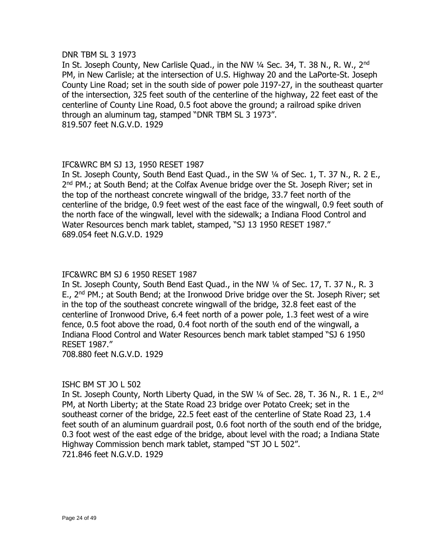#### DNR TBM SL 3 1973

In St. Joseph County, New Carlisle Quad., in the NW 1/4 Sec. 34, T. 38 N., R. W., 2<sup>nd</sup> PM, in New Carlisle; at the intersection of U.S. Highway 20 and the LaPorte-St. Joseph County Line Road; set in the south side of power pole J197-27, in the southeast quarter of the intersection, 325 feet south of the centerline of the highway, 22 feet east of the centerline of County Line Road, 0.5 foot above the ground; a railroad spike driven through an aluminum tag, stamped "DNR TBM SL 3 1973". 819.507 feet N.G.V.D. 1929

# IFC&WRC BM SJ 13, 1950 RESET 1987

In St. Joseph County, South Bend East Quad., in the SW ¼ of Sec. 1, T. 37 N., R. 2 E., 2<sup>nd</sup> PM.; at South Bend; at the Colfax Avenue bridge over the St. Joseph River; set in the top of the northeast concrete wingwall of the bridge, 33.7 feet north of the centerline of the bridge, 0.9 feet west of the east face of the wingwall, 0.9 feet south of the north face of the wingwall, level with the sidewalk; a Indiana Flood Control and Water Resources bench mark tablet, stamped, "SJ 13 1950 RESET 1987." 689.054 feet N.G.V.D. 1929

# IFC&WRC BM SJ 6 1950 RESET 1987

In St. Joseph County, South Bend East Quad., in the NW ¼ of Sec. 17, T. 37 N., R. 3 E., 2<sup>nd</sup> PM.; at South Bend; at the Ironwood Drive bridge over the St. Joseph River; set in the top of the southeast concrete wingwall of the bridge, 32.8 feet east of the centerline of Ironwood Drive, 6.4 feet north of a power pole, 1.3 feet west of a wire fence, 0.5 foot above the road, 0.4 foot north of the south end of the wingwall, a Indiana Flood Control and Water Resources bench mark tablet stamped "SJ 6 1950 RESET 1987."

708.880 feet N.G.V.D. 1929

# ISHC BM ST JO L 502

In St. Joseph County, North Liberty Quad, in the SW 1/4 of Sec. 28, T. 36 N., R. 1 E., 2<sup>nd</sup> PM, at North Liberty; at the State Road 23 bridge over Potato Creek; set in the southeast corner of the bridge, 22.5 feet east of the centerline of State Road 23, 1.4 feet south of an aluminum guardrail post, 0.6 foot north of the south end of the bridge, 0.3 foot west of the east edge of the bridge, about level with the road; a Indiana State Highway Commission bench mark tablet, stamped "ST JO L 502". 721.846 feet N.G.V.D. 1929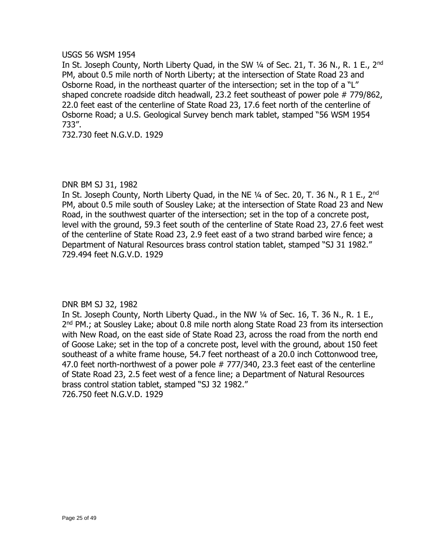# USGS 56 WSM 1954

In St. Joseph County, North Liberty Quad, in the SW 1/4 of Sec. 21, T. 36 N., R. 1 E., 2<sup>nd</sup> PM, about 0.5 mile north of North Liberty; at the intersection of State Road 23 and Osborne Road, in the northeast quarter of the intersection; set in the top of a "L" shaped concrete roadside ditch headwall, 23.2 feet southeast of power pole # 779/862, 22.0 feet east of the centerline of State Road 23, 17.6 feet north of the centerline of Osborne Road; a U.S. Geological Survey bench mark tablet, stamped "56 WSM 1954 733".

732.730 feet N.G.V.D. 1929

# DNR BM SJ 31, 1982

In St. Joseph County, North Liberty Quad, in the NE  $\frac{1}{4}$  of Sec. 20, T. 36 N., R 1 E., 2<sup>nd</sup> PM, about 0.5 mile south of Sousley Lake; at the intersection of State Road 23 and New Road, in the southwest quarter of the intersection; set in the top of a concrete post, level with the ground, 59.3 feet south of the centerline of State Road 23, 27.6 feet west of the centerline of State Road 23, 2.9 feet east of a two strand barbed wire fence; a Department of Natural Resources brass control station tablet, stamped "SJ 31 1982." 729.494 feet N.G.V.D. 1929

# DNR BM SJ 32, 1982

In St. Joseph County, North Liberty Quad., in the NW ¼ of Sec. 16, T. 36 N., R. 1 E., 2<sup>nd</sup> PM.; at Sousley Lake; about 0.8 mile north along State Road 23 from its intersection with New Road, on the east side of State Road 23, across the road from the north end of Goose Lake; set in the top of a concrete post, level with the ground, about 150 feet southeast of a white frame house, 54.7 feet northeast of a 20.0 inch Cottonwood tree, 47.0 feet north-northwest of a power pole # 777/340, 23.3 feet east of the centerline of State Road 23, 2.5 feet west of a fence line; a Department of Natural Resources brass control station tablet, stamped "SJ 32 1982." 726.750 feet N.G.V.D. 1929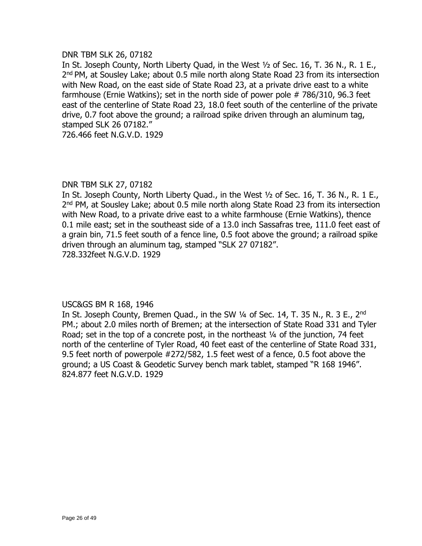#### DNR TBM SLK 26, 07182

In St. Joseph County, North Liberty Quad, in the West ½ of Sec. 16, T. 36 N., R. 1 E., 2<sup>nd</sup> PM, at Sousley Lake; about 0.5 mile north along State Road 23 from its intersection with New Road, on the east side of State Road 23, at a private drive east to a white farmhouse (Ernie Watkins); set in the north side of power pole # 786/310, 96.3 feet east of the centerline of State Road 23, 18.0 feet south of the centerline of the private drive, 0.7 foot above the ground; a railroad spike driven through an aluminum tag, stamped SLK 26 07182."

726.466 feet N.G.V.D. 1929

# DNR TBM SLK 27, 07182

In St. Joseph County, North Liberty Quad., in the West ½ of Sec. 16, T. 36 N., R. 1 E., 2<sup>nd</sup> PM, at Sousley Lake; about 0.5 mile north along State Road 23 from its intersection with New Road, to a private drive east to a white farmhouse (Ernie Watkins), thence 0.1 mile east; set in the southeast side of a 13.0 inch Sassafras tree, 111.0 feet east of a grain bin, 71.5 feet south of a fence line, 0.5 foot above the ground; a railroad spike driven through an aluminum tag, stamped "SLK 27 07182". 728.332feet N.G.V.D. 1929

# USC&GS BM R 168, 1946

In St. Joseph County, Bremen Quad., in the SW  $\frac{1}{4}$  of Sec. 14, T. 35 N., R. 3 E., 2<sup>nd</sup> PM.; about 2.0 miles north of Bremen; at the intersection of State Road 331 and Tyler Road; set in the top of a concrete post, in the northeast 1/4 of the junction, 74 feet north of the centerline of Tyler Road, 40 feet east of the centerline of State Road 331, 9.5 feet north of powerpole #272/582, 1.5 feet west of a fence, 0.5 foot above the ground; a US Coast & Geodetic Survey bench mark tablet, stamped "R 168 1946". 824.877 feet N.G.V.D. 1929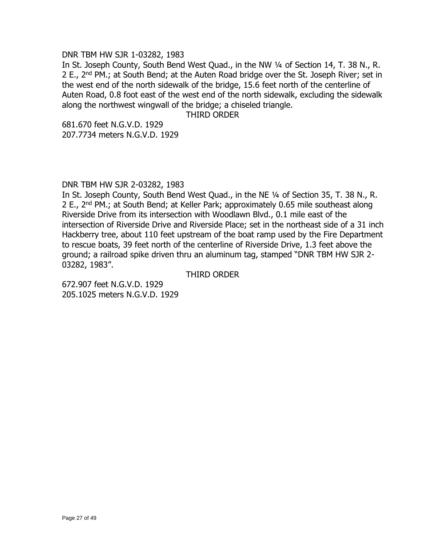#### DNR TBM HW SJR 1-03282, 1983

In St. Joseph County, South Bend West Quad., in the NW ¼ of Section 14, T. 38 N., R. 2 E., 2<sup>nd</sup> PM.; at South Bend; at the Auten Road bridge over the St. Joseph River; set in the west end of the north sidewalk of the bridge, 15.6 feet north of the centerline of Auten Road, 0.8 foot east of the west end of the north sidewalk, excluding the sidewalk along the northwest wingwall of the bridge; a chiseled triangle.

### THIRD ORDER

681.670 feet N.G.V.D. 1929 207.7734 meters N.G.V.D. 1929

# DNR TBM HW SJR 2-03282, 1983

In St. Joseph County, South Bend West Quad., in the NE 1/4 of Section 35, T. 38 N., R. 2 E., 2<sup>nd</sup> PM.; at South Bend; at Keller Park; approximately 0.65 mile southeast along Riverside Drive from its intersection with Woodlawn Blvd., 0.1 mile east of the intersection of Riverside Drive and Riverside Place; set in the northeast side of a 31 inch Hackberry tree, about 110 feet upstream of the boat ramp used by the Fire Department to rescue boats, 39 feet north of the centerline of Riverside Drive, 1.3 feet above the ground; a railroad spike driven thru an aluminum tag, stamped "DNR TBM HW SJR 2- 03282, 1983".

THIRD ORDER

672.907 feet N.G.V.D. 1929 205.1025 meters N.G.V.D. 1929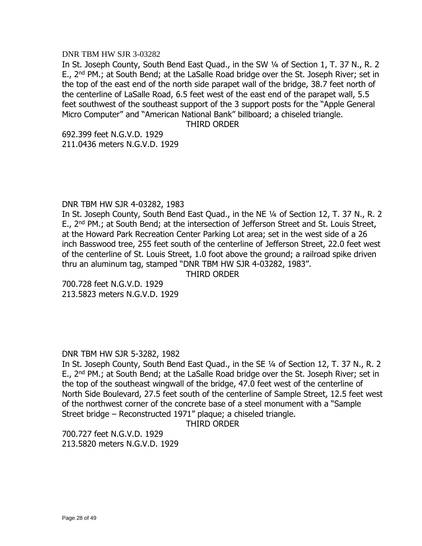#### DNR TBM HW SJR 3-03282

In St. Joseph County, South Bend East Quad., in the SW ¼ of Section 1, T. 37 N., R. 2 E., 2<sup>nd</sup> PM.; at South Bend; at the LaSalle Road bridge over the St. Joseph River; set in the top of the east end of the north side parapet wall of the bridge, 38.7 feet north of the centerline of LaSalle Road, 6.5 feet west of the east end of the parapet wall, 5.5 feet southwest of the southeast support of the 3 support posts for the "Apple General Micro Computer" and "American National Bank" billboard; a chiseled triangle.

THIRD ORDER

692.399 feet N.G.V.D. 1929 211.0436 meters N.G.V.D. 1929

#### DNR TBM HW SJR 4-03282, 1983

In St. Joseph County, South Bend East Quad., in the NE ¼ of Section 12, T. 37 N., R. 2 E., 2<sup>nd</sup> PM.; at South Bend; at the intersection of Jefferson Street and St. Louis Street, at the Howard Park Recreation Center Parking Lot area; set in the west side of a 26 inch Basswood tree, 255 feet south of the centerline of Jefferson Street, 22.0 feet west of the centerline of St. Louis Street, 1.0 foot above the ground; a railroad spike driven thru an aluminum tag, stamped "DNR TBM HW SJR 4-03282, 1983".

THIRD ORDER

700.728 feet N.G.V.D. 1929 213.5823 meters N.G.V.D. 1929

# DNR TBM HW SJR 5-3282, 1982

In St. Joseph County, South Bend East Quad., in the SE ¼ of Section 12, T. 37 N., R. 2 E., 2nd PM.; at South Bend; at the LaSalle Road bridge over the St. Joseph River; set in the top of the southeast wingwall of the bridge, 47.0 feet west of the centerline of North Side Boulevard, 27.5 feet south of the centerline of Sample Street, 12.5 feet west of the northwest corner of the concrete base of a steel monument with a "Sample Street bridge – Reconstructed 1971" plaque; a chiseled triangle.

THIRD ORDER

700.727 feet N.G.V.D. 1929 213.5820 meters N.G.V.D. 1929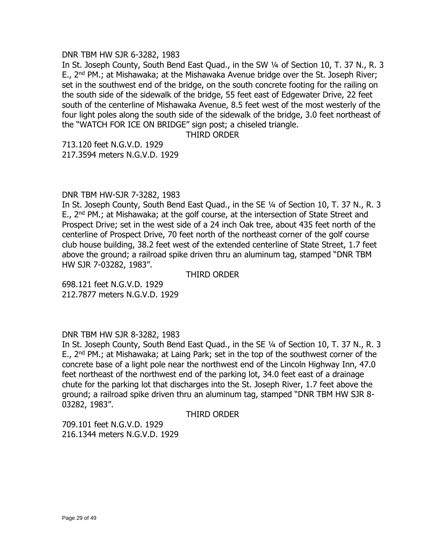DNR TBM HW SJR 6-3282, 1983

In St. Joseph County, South Bend East Quad., in the SW ¼ of Section 10, T. 37 N., R. 3 E.,  $2^{nd}$  PM.; at Mishawaka; at the Mishawaka Avenue bridge over the St. Joseph River; set in the southwest end of the bridge, on the south concrete footing for the railing on the south side of the sidewalk of the bridge, 55 feet east of Edgewater Drive, 22 feet south of the centerline of Mishawaka Avenue, 8.5 feet west of the most westerly of the four light poles along the south side of the sidewalk of the bridge, 3.0 feet northeast of the "WATCH FOR ICE ON BRIDGE" sign post; a chiseled triangle.

THIRD ORDER

713.120 feet N.G.V.D. 1929 217.3594 meters N.G.V.D. 1929

#### DNR TBM HW-SJR 7-3282, 1983

In St. Joseph County, South Bend East Quad., in the SE ¼ of Section 10, T. 37 N., R. 3 E., 2<sup>nd</sup> PM.; at Mishawaka; at the golf course, at the intersection of State Street and Prospect Drive; set in the west side of a 24 inch Oak tree, about 435 feet north of the centerline of Prospect Drive, 70 feet north of the northeast corner of the golf course club house building, 38.2 feet west of the extended centerline of State Street, 1.7 feet above the ground; a railroad spike driven thru an aluminum tag, stamped "DNR TBM HW SJR 7-03282, 1983".

THIRD ORDER

698.121 feet N.G.V.D. 1929 212.7877 meters N.G.V.D. 1929

#### DNR TBM HW SJR 8-3282, 1983

In St. Joseph County, South Bend East Quad., in the SE ¼ of Section 10, T. 37 N., R. 3 E., 2<sup>nd</sup> PM.; at Mishawaka; at Laing Park; set in the top of the southwest corner of the concrete base of a light pole near the northwest end of the Lincoln Highway Inn, 47.0 feet northeast of the northwest end of the parking lot, 34.0 feet east of a drainage chute for the parking lot that discharges into the St. Joseph River, 1.7 feet above the ground; a railroad spike driven thru an aluminum tag, stamped "DNR TBM HW SJR 8- 03282, 1983".

THIRD ORDER

709.101 feet N.G.V.D. 1929 216.1344 meters N.G.V.D. 1929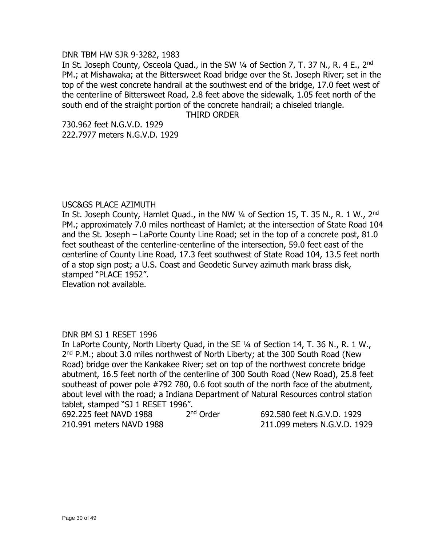#### DNR TBM HW SJR 9-3282, 1983

In St. Joseph County, Osceola Quad., in the SW 1/4 of Section 7, T. 37 N., R. 4 E., 2<sup>nd</sup> PM.; at Mishawaka; at the Bittersweet Road bridge over the St. Joseph River; set in the top of the west concrete handrail at the southwest end of the bridge, 17.0 feet west of the centerline of Bittersweet Road, 2.8 feet above the sidewalk, 1.05 feet north of the south end of the straight portion of the concrete handrail; a chiseled triangle.

#### THIRD ORDER

730.962 feet N.G.V.D. 1929 222.7977 meters N.G.V.D. 1929

#### USC&GS PLACE AZIMUTH

In St. Joseph County, Hamlet Quad., in the NW  $\frac{1}{4}$  of Section 15, T. 35 N., R. 1 W., 2<sup>nd</sup> PM.; approximately 7.0 miles northeast of Hamlet; at the intersection of State Road 104 and the St. Joseph – LaPorte County Line Road; set in the top of a concrete post, 81.0 feet southeast of the centerline-centerline of the intersection, 59.0 feet east of the centerline of County Line Road, 17.3 feet southwest of State Road 104, 13.5 feet north of a stop sign post; a U.S. Coast and Geodetic Survey azimuth mark brass disk, stamped "PLACE 1952".

Elevation not available.

#### DNR BM SJ 1 RESET 1996

In LaPorte County, North Liberty Quad, in the SE ¼ of Section 14, T. 36 N., R. 1 W., 2<sup>nd</sup> P.M.; about 3.0 miles northwest of North Liberty; at the 300 South Road (New Road) bridge over the Kankakee River; set on top of the northwest concrete bridge abutment, 16.5 feet north of the centerline of 300 South Road (New Road), 25.8 feet southeast of power pole #792 780, 0.6 foot south of the north face of the abutment, about level with the road; a Indiana Department of Natural Resources control station tablet, stamped "SJ 1 RESET 1996".

| 692.225 feet NAVD 1988   | 2 <sup>nd</sup> Order |
|--------------------------|-----------------------|
| 210.991 meters NAVD 1988 |                       |

692.580 feet N.G.V.D. 1929 211.099 meters N.G.V.D. 1929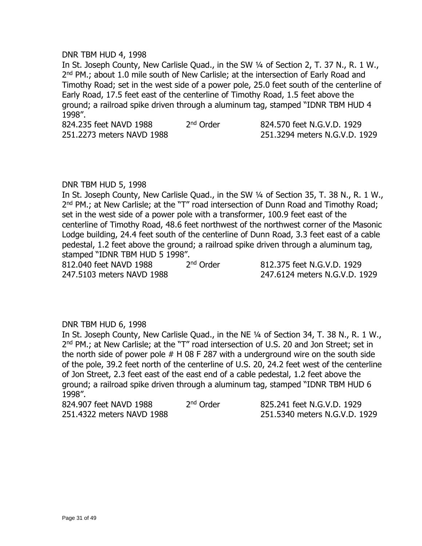#### DNR TBM HUD 4, 1998

In St. Joseph County, New Carlisle Quad., in the SW ¼ of Section 2, T. 37 N., R. 1 W., 2<sup>nd</sup> PM.; about 1.0 mile south of New Carlisle; at the intersection of Early Road and Timothy Road; set in the west side of a power pole, 25.0 feet south of the centerline of Early Road, 17.5 feet east of the centerline of Timothy Road, 1.5 feet above the ground; a railroad spike driven through a aluminum tag, stamped "IDNR TBM HUD 4 1998".

824.235 feet NAVD 1988 2<sup>nd</sup> Order 251.2273 meters NAVD 1988 251.3294 meters N.G.V.D. 1929

824.570 feet N.G.V.D. 1929

# DNR TBM HUD 5, 1998

In St. Joseph County, New Carlisle Quad., in the SW ¼ of Section 35, T. 38 N., R. 1 W., 2<sup>nd</sup> PM.; at New Carlisle; at the "T" road intersection of Dunn Road and Timothy Road; set in the west side of a power pole with a transformer, 100.9 feet east of the centerline of Timothy Road, 48.6 feet northwest of the northwest corner of the Masonic Lodge building, 24.4 feet south of the centerline of Dunn Road, 3.3 feet east of a cable pedestal, 1.2 feet above the ground; a railroad spike driven through a aluminum tag, stamped "IDNR TBM HUD 5 1998".

812.040 feet NAVD 1988 2<sup>nd</sup> Order 247.5103 meters NAVD 1988 247.6124 meters N.G.V.D. 1929

812.375 feet N.G.V.D. 1929

#### DNR TBM HUD 6, 1998

In St. Joseph County, New Carlisle Quad., in the NE ¼ of Section 34, T. 38 N., R. 1 W., 2<sup>nd</sup> PM.; at New Carlisle; at the "T" road intersection of U.S. 20 and Jon Street; set in the north side of power pole  $#$  H 08 F 287 with a underground wire on the south side of the pole, 39.2 feet north of the centerline of U.S. 20, 24.2 feet west of the centerline of Jon Street, 2.3 feet east of the east end of a cable pedestal, 1.2 feet above the ground; a railroad spike driven through a aluminum tag, stamped "IDNR TBM HUD 6 1998".

| 824.907 feet NAVD 1988    | 2 <sup>nd</sup> Order | 825.241 feet N.G.V.D. 1929    |
|---------------------------|-----------------------|-------------------------------|
| 251.4322 meters NAVD 1988 |                       | 251.5340 meters N.G.V.D. 1929 |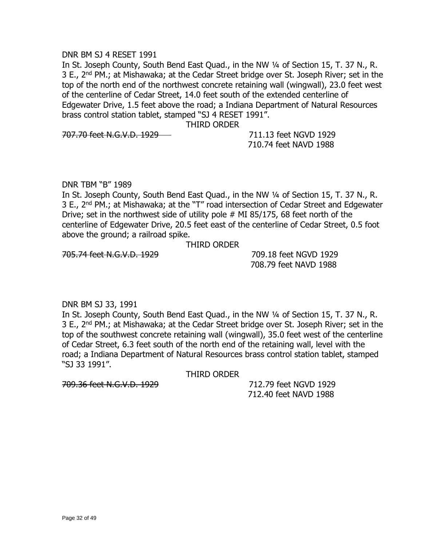#### DNR BM SJ 4 RESET 1991

In St. Joseph County, South Bend East Quad., in the NW 1/4 of Section 15, T. 37 N., R. 3 E., 2<sup>nd</sup> PM.; at Mishawaka; at the Cedar Street bridge over St. Joseph River; set in the top of the north end of the northwest concrete retaining wall (wingwall), 23.0 feet west of the centerline of Cedar Street, 14.0 feet south of the extended centerline of Edgewater Drive, 1.5 feet above the road; a Indiana Department of Natural Resources brass control station tablet, stamped "SJ 4 RESET 1991".

THIRD ORDER

707.70 feet N.G.V.D. 1929 711.13 feet NGVD 1929

710.74 feet NAVD 1988

DNR TBM "B" 1989

In St. Joseph County, South Bend East Quad., in the NW 1/4 of Section 15, T. 37 N., R. 3 E., 2<sup>nd</sup> PM.; at Mishawaka; at the "T" road intersection of Cedar Street and Edgewater Drive; set in the northwest side of utility pole # MI 85/175, 68 feet north of the centerline of Edgewater Drive, 20.5 feet east of the centerline of Cedar Street, 0.5 foot above the ground; a railroad spike.

THIRD ORDER

705.74 feet N.G.V.D. 1929 709.18 feet NGVD 1929

708.79 feet NAVD 1988

DNR BM SJ 33, 1991

In St. Joseph County, South Bend East Quad., in the NW 1/4 of Section 15, T. 37 N., R. 3 E., 2<sup>nd</sup> PM.; at Mishawaka; at the Cedar Street bridge over St. Joseph River; set in the top of the southwest concrete retaining wall (wingwall), 35.0 feet west of the centerline of Cedar Street, 6.3 feet south of the north end of the retaining wall, level with the road; a Indiana Department of Natural Resources brass control station tablet, stamped "SJ 33 1991".

THIRD ORDER

709.36 feet N.G.V.D. 1929 712.79 feet NGVD 1929

712.40 feet NAVD 1988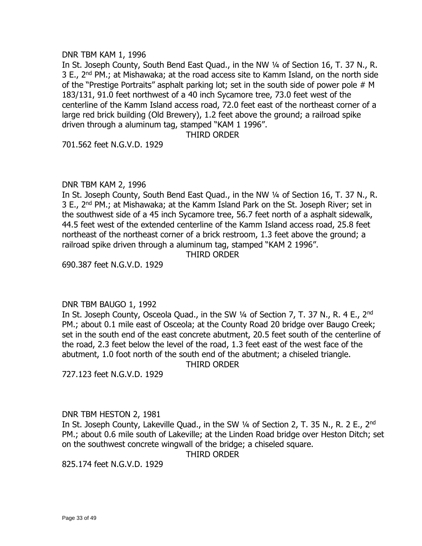#### DNR TBM KAM 1, 1996

In St. Joseph County, South Bend East Quad., in the NW 1/4 of Section 16, T. 37 N., R. 3 E.,  $2^{nd}$  PM.; at Mishawaka; at the road access site to Kamm Island, on the north side of the "Prestige Portraits" asphalt parking lot; set in the south side of power pole # M 183/131, 91.0 feet northwest of a 40 inch Sycamore tree, 73.0 feet west of the centerline of the Kamm Island access road, 72.0 feet east of the northeast corner of a large red brick building (Old Brewery), 1.2 feet above the ground; a railroad spike driven through a aluminum tag, stamped "KAM 1 1996".

#### THIRD ORDER

701.562 feet N.G.V.D. 1929

#### DNR TBM KAM 2, 1996

In St. Joseph County, South Bend East Quad., in the NW 1/4 of Section 16, T. 37 N., R. 3 E., 2<sup>nd</sup> PM.; at Mishawaka; at the Kamm Island Park on the St. Joseph River; set in the southwest side of a 45 inch Sycamore tree, 56.7 feet north of a asphalt sidewalk, 44.5 feet west of the extended centerline of the Kamm Island access road, 25.8 feet northeast of the northeast corner of a brick restroom, 1.3 feet above the ground; a railroad spike driven through a aluminum tag, stamped "KAM 2 1996".

THIRD ORDER

690.387 feet N.G.V.D. 1929

#### DNR TBM BAUGO 1, 1992

In St. Joseph County, Osceola Quad., in the SW 1/4 of Section 7, T. 37 N., R. 4 E., 2<sup>nd</sup> PM.; about 0.1 mile east of Osceola; at the County Road 20 bridge over Baugo Creek; set in the south end of the east concrete abutment, 20.5 feet south of the centerline of the road, 2.3 feet below the level of the road, 1.3 feet east of the west face of the abutment, 1.0 foot north of the south end of the abutment; a chiseled triangle. THIRD ORDER

727.123 feet N.G.V.D. 1929

#### DNR TBM HESTON 2, 1981

In St. Joseph County, Lakeville Quad., in the SW 1/4 of Section 2, T. 35 N., R. 2 E., 2<sup>nd</sup> PM.; about 0.6 mile south of Lakeville; at the Linden Road bridge over Heston Ditch; set on the southwest concrete wingwall of the bridge; a chiseled square.

THIRD ORDER

825.174 feet N.G.V.D. 1929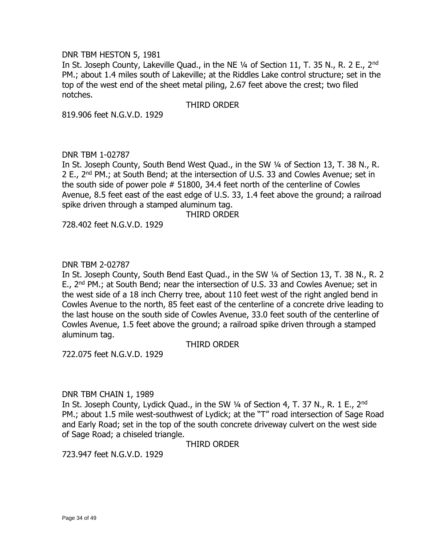#### DNR TBM HESTON 5, 1981

In St. Joseph County, Lakeville Quad., in the NE 1/4 of Section 11, T. 35 N., R. 2 E., 2<sup>nd</sup> PM.; about 1.4 miles south of Lakeville; at the Riddles Lake control structure; set in the top of the west end of the sheet metal piling, 2.67 feet above the crest; two filed notches.

#### THIRD ORDER

819.906 feet N.G.V.D. 1929

# DNR TBM 1-02787

In St. Joseph County, South Bend West Quad., in the SW ¼ of Section 13, T. 38 N., R. 2 E., 2nd PM.; at South Bend; at the intersection of U.S. 33 and Cowles Avenue; set in the south side of power pole # 51800, 34.4 feet north of the centerline of Cowles Avenue, 8.5 feet east of the east edge of U.S. 33, 1.4 feet above the ground; a railroad spike driven through a stamped aluminum tag.

THIRD ORDER

728.402 feet N.G.V.D. 1929

### DNR TBM 2-02787

In St. Joseph County, South Bend East Quad., in the SW ¼ of Section 13, T. 38 N., R. 2 E., 2<sup>nd</sup> PM.; at South Bend; near the intersection of U.S. 33 and Cowles Avenue; set in the west side of a 18 inch Cherry tree, about 110 feet west of the right angled bend in Cowles Avenue to the north, 85 feet east of the centerline of a concrete drive leading to the last house on the south side of Cowles Avenue, 33.0 feet south of the centerline of Cowles Avenue, 1.5 feet above the ground; a railroad spike driven through a stamped aluminum tag.

#### THIRD ORDER

722.075 feet N.G.V.D. 1929

#### DNR TBM CHAIN 1, 1989

In St. Joseph County, Lydick Quad., in the SW 1/4 of Section 4, T. 37 N., R. 1 E., 2<sup>nd</sup> PM.; about 1.5 mile west-southwest of Lydick; at the "T" road intersection of Sage Road and Early Road; set in the top of the south concrete driveway culvert on the west side of Sage Road; a chiseled triangle.

THIRD ORDER

723.947 feet N.G.V.D. 1929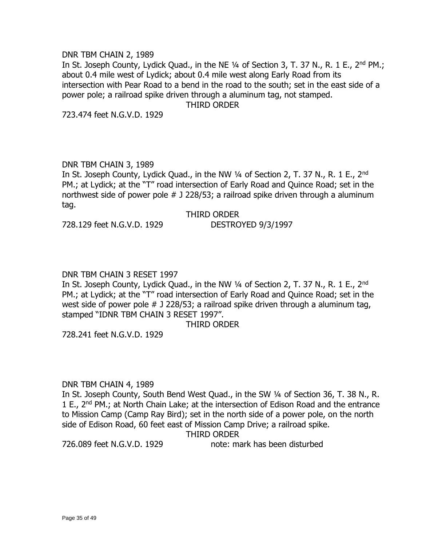#### DNR TBM CHAIN 2, 1989

In St. Joseph County, Lydick Quad., in the NE 1/4 of Section 3, T. 37 N., R. 1 E., 2<sup>nd</sup> PM.; about 0.4 mile west of Lydick; about 0.4 mile west along Early Road from its intersection with Pear Road to a bend in the road to the south; set in the east side of a power pole; a railroad spike driven through a aluminum tag, not stamped.

THIRD ORDER

723.474 feet N.G.V.D. 1929

### DNR TBM CHAIN 3, 1989

In St. Joseph County, Lydick Quad., in the NW 1/4 of Section 2, T. 37 N., R. 1 E., 2<sup>nd</sup> PM.; at Lydick; at the "T" road intersection of Early Road and Quince Road; set in the northwest side of power pole # J 228/53; a railroad spike driven through a aluminum tag.

THIRD ORDER

728.129 feet N.G.V.D. 1929 DESTROYED 9/3/1997

# DNR TBM CHAIN 3 RESET 1997

In St. Joseph County, Lydick Quad., in the NW 1/4 of Section 2, T. 37 N., R. 1 E., 2<sup>nd</sup> PM.; at Lydick; at the "T" road intersection of Early Road and Quince Road; set in the west side of power pole # J 228/53; a railroad spike driven through a aluminum tag, stamped "IDNR TBM CHAIN 3 RESET 1997".

#### THIRD ORDER

728.241 feet N.G.V.D. 1929

#### DNR TBM CHAIN 4, 1989

In St. Joseph County, South Bend West Quad., in the SW ¼ of Section 36, T. 38 N., R. 1 E., 2<sup>nd</sup> PM.; at North Chain Lake; at the intersection of Edison Road and the entrance to Mission Camp (Camp Ray Bird); set in the north side of a power pole, on the north side of Edison Road, 60 feet east of Mission Camp Drive; a railroad spike.

THIRD ORDER

726.089 feet N.G.V.D. 1929 note: mark has been disturbed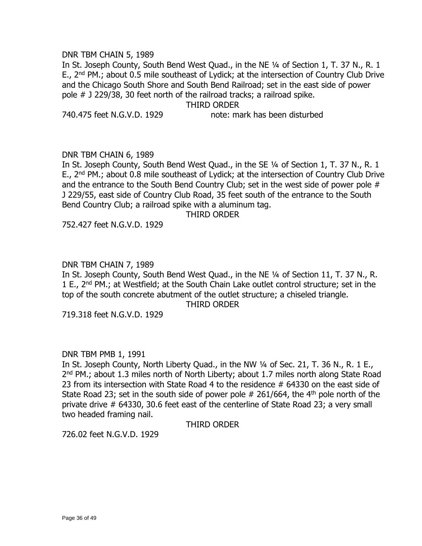#### DNR TBM CHAIN 5, 1989

In St. Joseph County, South Bend West Quad., in the NE ¼ of Section 1, T. 37 N., R. 1 E.,  $2^{nd}$  PM.; about 0.5 mile southeast of Lydick; at the intersection of Country Club Drive and the Chicago South Shore and South Bend Railroad; set in the east side of power pole # J 229/38, 30 feet north of the railroad tracks; a railroad spike.

THIRD ORDER

740.475 feet N.G.V.D. 1929 note: mark has been disturbed

# DNR TBM CHAIN 6, 1989

In St. Joseph County, South Bend West Quad., in the SE ¼ of Section 1, T. 37 N., R. 1 E., 2<sup>nd</sup> PM.; about 0.8 mile southeast of Lydick; at the intersection of Country Club Drive and the entrance to the South Bend Country Club; set in the west side of power pole # J 229/55, east side of Country Club Road, 35 feet south of the entrance to the South Bend Country Club; a railroad spike with a aluminum tag.

THIRD ORDER

752.427 feet N.G.V.D. 1929

# DNR TBM CHAIN 7, 1989

In St. Joseph County, South Bend West Quad., in the NE ¼ of Section 11, T. 37 N., R. 1 E., 2<sup>nd</sup> PM.; at Westfield; at the South Chain Lake outlet control structure; set in the top of the south concrete abutment of the outlet structure; a chiseled triangle.

THIRD ORDER

719.318 feet N.G.V.D. 1929

# DNR TBM PMB 1, 1991

In St. Joseph County, North Liberty Quad., in the NW ¼ of Sec. 21, T. 36 N., R. 1 E., 2<sup>nd</sup> PM.; about 1.3 miles north of North Liberty; about 1.7 miles north along State Road 23 from its intersection with State Road 4 to the residence # 64330 on the east side of State Road 23; set in the south side of power pole  $#$  261/664, the 4<sup>th</sup> pole north of the private drive # 64330, 30.6 feet east of the centerline of State Road 23; a very small two headed framing nail.

THIRD ORDER

726.02 feet N.G.V.D. 1929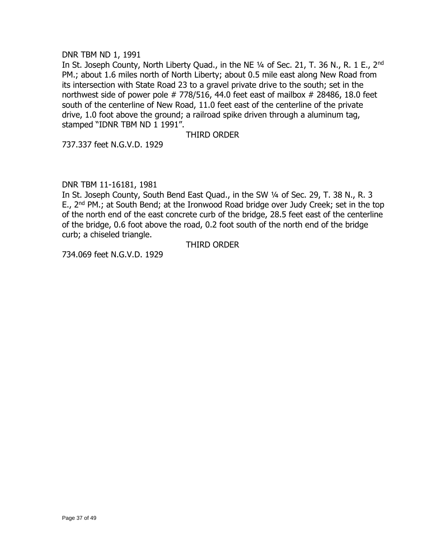# DNR TBM ND 1, 1991

In St. Joseph County, North Liberty Quad., in the NE 1/4 of Sec. 21, T. 36 N., R. 1 E., 2<sup>nd</sup> PM.; about 1.6 miles north of North Liberty; about 0.5 mile east along New Road from its intersection with State Road 23 to a gravel private drive to the south; set in the northwest side of power pole  $# 778/516$ , 44.0 feet east of mailbox  $# 28486$ , 18.0 feet south of the centerline of New Road, 11.0 feet east of the centerline of the private drive, 1.0 foot above the ground; a railroad spike driven through a aluminum tag, stamped "IDNR TBM ND 1 1991".

# THIRD ORDER

737.337 feet N.G.V.D. 1929

# DNR TBM 11-16181, 1981

In St. Joseph County, South Bend East Quad., in the SW ¼ of Sec. 29, T. 38 N., R. 3 E., 2<sup>nd</sup> PM.; at South Bend; at the Ironwood Road bridge over Judy Creek; set in the top of the north end of the east concrete curb of the bridge, 28.5 feet east of the centerline of the bridge, 0.6 foot above the road, 0.2 foot south of the north end of the bridge curb; a chiseled triangle.

#### THIRD ORDER

734.069 feet N.G.V.D. 1929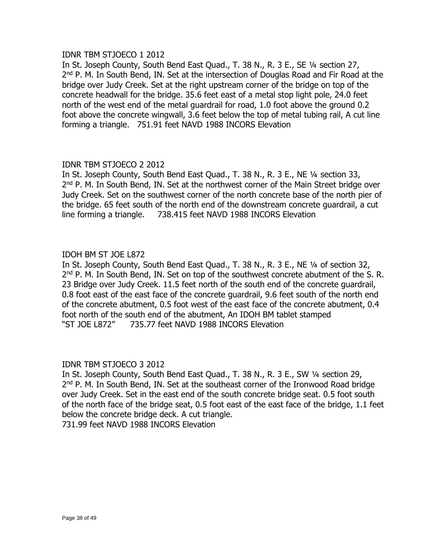# IDNR TBM STJOECO 1 2012

In St. Joseph County, South Bend East Quad., T. 38 N., R. 3 E., SE ¼ section 27, 2<sup>nd</sup> P. M. In South Bend, IN. Set at the intersection of Douglas Road and Fir Road at the bridge over Judy Creek. Set at the right upstream corner of the bridge on top of the concrete headwall for the bridge. 35.6 feet east of a metal stop light pole, 24.0 feet north of the west end of the metal guardrail for road, 1.0 foot above the ground 0.2 foot above the concrete wingwall, 3.6 feet below the top of metal tubing rail, A cut line forming a triangle. 751.91 feet NAVD 1988 INCORS Elevation

# IDNR TBM STJOECO 2 2012

In St. Joseph County, South Bend East Quad., T. 38 N., R. 3 E., NE ¼ section 33, 2<sup>nd</sup> P. M. In South Bend, IN. Set at the northwest corner of the Main Street bridge over Judy Creek. Set on the southwest corner of the north concrete base of the north pier of the bridge. 65 feet south of the north end of the downstream concrete guardrail, a cut line forming a triangle. 738.415 feet NAVD 1988 INCORS Elevation

# IDOH BM ST JOE L872

In St. Joseph County, South Bend East Quad., T. 38 N., R. 3 E., NE ¼ of section 32, 2<sup>nd</sup> P. M. In South Bend, IN. Set on top of the southwest concrete abutment of the S. R. 23 Bridge over Judy Creek. 11.5 feet north of the south end of the concrete guardrail, 0.8 foot east of the east face of the concrete guardrail, 9.6 feet south of the north end of the concrete abutment, 0.5 foot west of the east face of the concrete abutment, 0.4 foot north of the south end of the abutment, An IDOH BM tablet stamped "ST JOE L872" 735.77 feet NAVD 1988 INCORS Elevation

# IDNR TBM STJOECO 3 2012

In St. Joseph County, South Bend East Quad., T. 38 N., R. 3 E., SW ¼ section 29, 2<sup>nd</sup> P. M. In South Bend, IN. Set at the southeast corner of the Ironwood Road bridge over Judy Creek. Set in the east end of the south concrete bridge seat. 0.5 foot south of the north face of the bridge seat, 0.5 foot east of the east face of the bridge, 1.1 feet below the concrete bridge deck. A cut triangle.

731.99 feet NAVD 1988 INCORS Elevation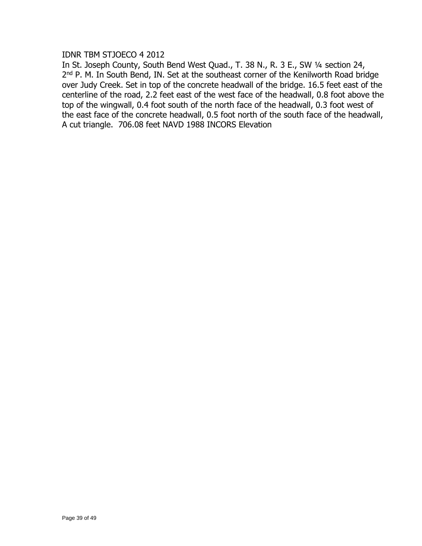# IDNR TBM STJOECO 4 2012

In St. Joseph County, South Bend West Quad., T. 38 N., R. 3 E., SW ¼ section 24, 2<sup>nd</sup> P. M. In South Bend, IN. Set at the southeast corner of the Kenilworth Road bridge over Judy Creek. Set in top of the concrete headwall of the bridge. 16.5 feet east of the centerline of the road, 2.2 feet east of the west face of the headwall, 0.8 foot above the top of the wingwall, 0.4 foot south of the north face of the headwall, 0.3 foot west of the east face of the concrete headwall, 0.5 foot north of the south face of the headwall, A cut triangle. 706.08 feet NAVD 1988 INCORS Elevation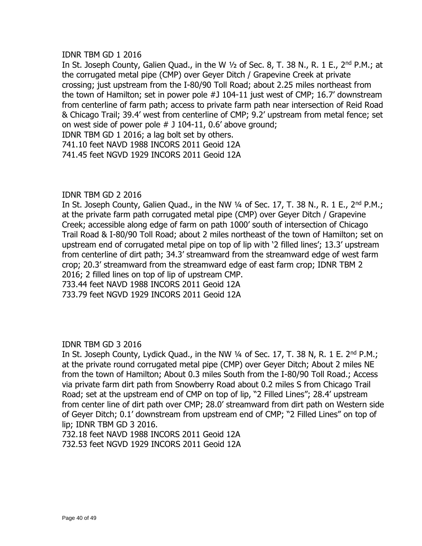# IDNR TBM GD 1 2016

In St. Joseph County, Galien Quad., in the W  $1/2$  of Sec. 8, T. 38 N., R. 1 E., 2<sup>nd</sup> P.M.; at the corrugated metal pipe (CMP) over Geyer Ditch / Grapevine Creek at private crossing; just upstream from the I-80/90 Toll Road; about 2.25 miles northeast from the town of Hamilton; set in power pole #J 104-11 just west of CMP; 16.7' downstream from centerline of farm path; access to private farm path near intersection of Reid Road & Chicago Trail; 39.4' west from centerline of CMP; 9.2' upstream from metal fence; set on west side of power pole # J 104-11, 0.6' above ground; IDNR TBM GD 1 2016; a lag bolt set by others.

741.10 feet NAVD 1988 INCORS 2011 Geoid 12A 741.45 feet NGVD 1929 INCORS 2011 Geoid 12A

### IDNR TBM GD 2 2016

In St. Joseph County, Galien Quad., in the NW  $\frac{1}{4}$  of Sec. 17, T. 38 N., R. 1 E., 2<sup>nd</sup> P.M.; at the private farm path corrugated metal pipe (CMP) over Geyer Ditch / Grapevine Creek; accessible along edge of farm on path 1000' south of intersection of Chicago Trail Road & I-80/90 Toll Road; about 2 miles northeast of the town of Hamilton; set on upstream end of corrugated metal pipe on top of lip with '2 filled lines'; 13.3' upstream from centerline of dirt path; 34.3' streamward from the streamward edge of west farm crop; 20.3' streamward from the streamward edge of east farm crop; IDNR TBM 2 2016; 2 filled lines on top of lip of upstream CMP. 733.44 feet NAVD 1988 INCORS 2011 Geoid 12A

733.79 feet NGVD 1929 INCORS 2011 Geoid 12A

IDNR TBM GD 3 2016

In St. Joseph County, Lydick Quad., in the NW  $\frac{1}{4}$  of Sec. 17, T. 38 N, R. 1 E. 2<sup>nd</sup> P.M.; at the private round corrugated metal pipe (CMP) over Geyer Ditch; About 2 miles NE from the town of Hamilton; About 0.3 miles South from the I-80/90 Toll Road.; Access via private farm dirt path from Snowberry Road about 0.2 miles S from Chicago Trail Road; set at the upstream end of CMP on top of lip, "2 Filled Lines"; 28.4' upstream from center line of dirt path over CMP; 28.0' streamward from dirt path on Western side of Geyer Ditch; 0.1' downstream from upstream end of CMP; "2 Filled Lines" on top of lip; IDNR TBM GD 3 2016.

732.18 feet NAVD 1988 INCORS 2011 Geoid 12A 732.53 feet NGVD 1929 INCORS 2011 Geoid 12A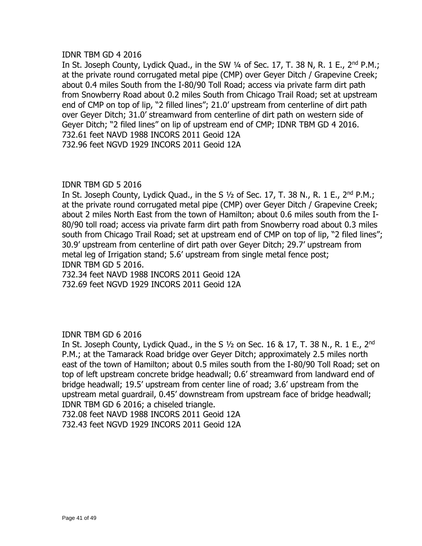# IDNR TBM GD 4 2016

In St. Joseph County, Lydick Quad., in the SW  $\frac{1}{4}$  of Sec. 17, T. 38 N, R. 1 E., 2<sup>nd</sup> P.M.; at the private round corrugated metal pipe (CMP) over Geyer Ditch / Grapevine Creek; about 0.4 miles South from the I-80/90 Toll Road; access via private farm dirt path from Snowberry Road about 0.2 miles South from Chicago Trail Road; set at upstream end of CMP on top of lip, "2 filled lines"; 21.0' upstream from centerline of dirt path over Geyer Ditch; 31.0' streamward from centerline of dirt path on western side of Geyer Ditch; "2 filed lines" on lip of upstream end of CMP; IDNR TBM GD 4 2016. 732.61 feet NAVD 1988 INCORS 2011 Geoid 12A 732.96 feet NGVD 1929 INCORS 2011 Geoid 12A

### IDNR TBM GD 5 2016

In St. Joseph County, Lydick Quad., in the S  $1/2$  of Sec. 17, T. 38 N., R. 1 E., 2<sup>nd</sup> P.M.; at the private round corrugated metal pipe (CMP) over Geyer Ditch / Grapevine Creek; about 2 miles North East from the town of Hamilton; about 0.6 miles south from the I-80/90 toll road; access via private farm dirt path from Snowberry road about 0.3 miles south from Chicago Trail Road; set at upstream end of CMP on top of lip, "2 filed lines"; 30.9' upstream from centerline of dirt path over Geyer Ditch; 29.7' upstream from metal leg of Irrigation stand; 5.6' upstream from single metal fence post; IDNR TBM GD 5 2016.

732.34 feet NAVD 1988 INCORS 2011 Geoid 12A 732.69 feet NGVD 1929 INCORS 2011 Geoid 12A

# IDNR TBM GD 6 2016

In St. Joseph County, Lydick Quad., in the S  $1/2$  on Sec. 16 & 17, T. 38 N., R. 1 E., 2<sup>nd</sup> P.M.; at the Tamarack Road bridge over Geyer Ditch; approximately 2.5 miles north east of the town of Hamilton; about 0.5 miles south from the I-80/90 Toll Road; set on top of left upstream concrete bridge headwall; 0.6' streamward from landward end of bridge headwall; 19.5' upstream from center line of road; 3.6' upstream from the upstream metal guardrail, 0.45' downstream from upstream face of bridge headwall; IDNR TBM GD 6 2016; a chiseled triangle.

732.08 feet NAVD 1988 INCORS 2011 Geoid 12A

732.43 feet NGVD 1929 INCORS 2011 Geoid 12A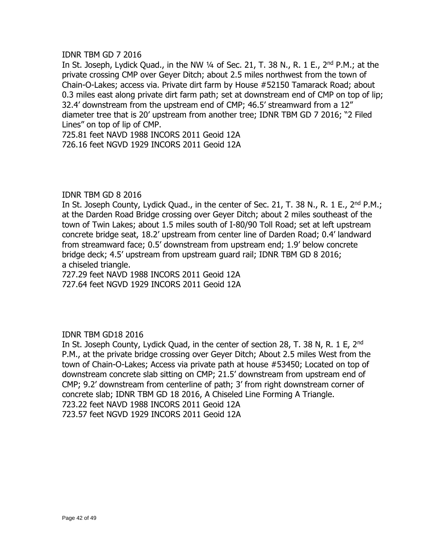# IDNR TBM GD 7 2016

In St. Joseph, Lydick Quad., in the NW  $\frac{1}{4}$  of Sec. 21, T. 38 N., R. 1 E., 2<sup>nd</sup> P.M.; at the private crossing CMP over Geyer Ditch; about 2.5 miles northwest from the town of Chain-O-Lakes; access via. Private dirt farm by House #52150 Tamarack Road; about 0.3 miles east along private dirt farm path; set at downstream end of CMP on top of lip; 32.4' downstream from the upstream end of CMP; 46.5' streamward from a 12" diameter tree that is 20' upstream from another tree; IDNR TBM GD 7 2016; "2 Filed Lines" on top of lip of CMP.

725.81 feet NAVD 1988 INCORS 2011 Geoid 12A 726.16 feet NGVD 1929 INCORS 2011 Geoid 12A

### IDNR TBM GD 8 2016

In St. Joseph County, Lydick Quad., in the center of Sec. 21, T. 38 N., R. 1 E., 2<sup>nd</sup> P.M.; at the Darden Road Bridge crossing over Geyer Ditch; about 2 miles southeast of the town of Twin Lakes; about 1.5 miles south of I-80/90 Toll Road; set at left upstream concrete bridge seat, 18.2' upstream from center line of Darden Road; 0.4' landward from streamward face; 0.5' downstream from upstream end; 1.9' below concrete bridge deck; 4.5' upstream from upstream guard rail; IDNR TBM GD 8 2016; a chiseled triangle.

727.29 feet NAVD 1988 INCORS 2011 Geoid 12A 727.64 feet NGVD 1929 INCORS 2011 Geoid 12A

# IDNR TBM GD18 2016

In St. Joseph County, Lydick Quad, in the center of section 28, T. 38 N, R. 1 E, 2<sup>nd</sup> P.M., at the private bridge crossing over Geyer Ditch; About 2.5 miles West from the town of Chain-O-Lakes; Access via private path at house #53450; Located on top of downstream concrete slab sitting on CMP; 21.5' downstream from upstream end of CMP; 9.2' downstream from centerline of path; 3' from right downstream corner of concrete slab; IDNR TBM GD 18 2016, A Chiseled Line Forming A Triangle. 723.22 feet NAVD 1988 INCORS 2011 Geoid 12A 723.57 feet NGVD 1929 INCORS 2011 Geoid 12A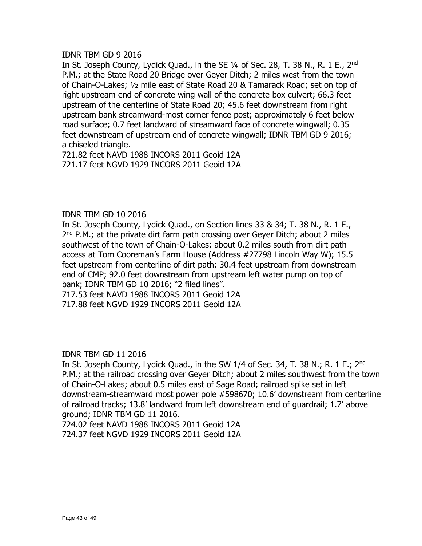# IDNR TBM GD 9 2016

In St. Joseph County, Lydick Quad., in the SE 1/4 of Sec. 28, T. 38 N., R. 1 E., 2<sup>nd</sup> P.M.; at the State Road 20 Bridge over Geyer Ditch; 2 miles west from the town of Chain-O-Lakes; ½ mile east of State Road 20 & Tamarack Road; set on top of right upstream end of concrete wing wall of the concrete box culvert; 66.3 feet upstream of the centerline of State Road 20; 45.6 feet downstream from right upstream bank streamward-most corner fence post; approximately 6 feet below road surface; 0.7 feet landward of streamward face of concrete wingwall; 0.35 feet downstream of upstream end of concrete wingwall; IDNR TBM GD 9 2016; a chiseled triangle.

721.82 feet NAVD 1988 INCORS 2011 Geoid 12A 721.17 feet NGVD 1929 INCORS 2011 Geoid 12A

# IDNR TBM GD 10 2016

In St. Joseph County, Lydick Quad., on Section lines 33 & 34; T. 38 N., R. 1 E., 2<sup>nd</sup> P.M.; at the private dirt farm path crossing over Geyer Ditch; about 2 miles southwest of the town of Chain-O-Lakes; about 0.2 miles south from dirt path access at Tom Cooreman's Farm House (Address #27798 Lincoln Way W); 15.5 feet upstream from centerline of dirt path; 30.4 feet upstream from downstream end of CMP; 92.0 feet downstream from upstream left water pump on top of bank; IDNR TBM GD 10 2016; "2 filed lines". 717.53 feet NAVD 1988 INCORS 2011 Geoid 12A

717.88 feet NGVD 1929 INCORS 2011 Geoid 12A

IDNR TBM GD 11 2016

In St. Joseph County, Lydick Quad., in the SW 1/4 of Sec. 34, T. 38 N.; R. 1 E.; 2<sup>nd</sup> P.M.; at the railroad crossing over Geyer Ditch; about 2 miles southwest from the town of Chain-O-Lakes; about 0.5 miles east of Sage Road; railroad spike set in left downstream-streamward most power pole #598670; 10.6' downstream from centerline of railroad tracks; 13.8' landward from left downstream end of guardrail; 1.7' above ground; IDNR TBM GD 11 2016.

724.02 feet NAVD 1988 INCORS 2011 Geoid 12A 724.37 feet NGVD 1929 INCORS 2011 Geoid 12A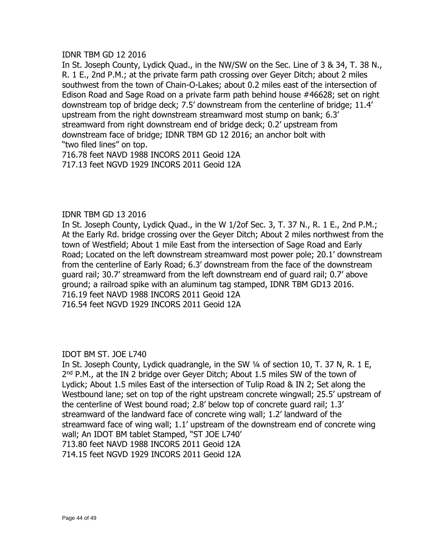# IDNR TBM GD 12 2016

In St. Joseph County, Lydick Quad., in the NW/SW on the Sec. Line of 3 & 34, T. 38 N., R. 1 E., 2nd P.M.; at the private farm path crossing over Geyer Ditch; about 2 miles southwest from the town of Chain-O-Lakes; about 0.2 miles east of the intersection of Edison Road and Sage Road on a private farm path behind house #46628; set on right downstream top of bridge deck; 7.5' downstream from the centerline of bridge; 11.4' upstream from the right downstream streamward most stump on bank; 6.3' streamward from right downstream end of bridge deck; 0.2' upstream from downstream face of bridge; IDNR TBM GD 12 2016; an anchor bolt with "two filed lines" on top.

716.78 feet NAVD 1988 INCORS 2011 Geoid 12A 717.13 feet NGVD 1929 INCORS 2011 Geoid 12A

# IDNR TBM GD 13 2016

In St. Joseph County, Lydick Quad., in the W 1/2of Sec. 3, T. 37 N., R. 1 E., 2nd P.M.; At the Early Rd. bridge crossing over the Geyer Ditch; About 2 miles northwest from the town of Westfield; About 1 mile East from the intersection of Sage Road and Early Road; Located on the left downstream streamward most power pole; 20.1' downstream from the centerline of Early Road; 6.3' downstream from the face of the downstream guard rail; 30.7' streamward from the left downstream end of guard rail; 0.7' above ground; a railroad spike with an aluminum tag stamped, IDNR TBM GD13 2016. 716.19 feet NAVD 1988 INCORS 2011 Geoid 12A 716.54 feet NGVD 1929 INCORS 2011 Geoid 12A

# IDOT BM ST. JOE L740

In St. Joseph County, Lydick quadrangle, in the SW ¼ of section 10, T. 37 N, R. 1 E, 2<sup>nd</sup> P.M., at the IN 2 bridge over Geyer Ditch; About 1.5 miles SW of the town of Lydick; About 1.5 miles East of the intersection of Tulip Road & IN 2; Set along the Westbound lane; set on top of the right upstream concrete wingwall; 25.5' upstream of the centerline of West bound road; 2.8' below top of concrete guard rail; 1.3' streamward of the landward face of concrete wing wall; 1.2' landward of the streamward face of wing wall; 1.1' upstream of the downstream end of concrete wing wall; An IDOT BM tablet Stamped, "ST JOE L740' 713.80 feet NAVD 1988 INCORS 2011 Geoid 12A 714.15 feet NGVD 1929 INCORS 2011 Geoid 12A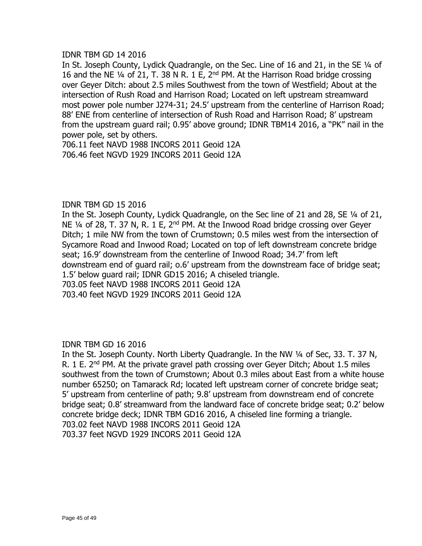# IDNR TBM GD 14 2016

In St. Joseph County, Lydick Quadrangle, on the Sec. Line of 16 and 21, in the SE 1/4 of 16 and the NE ¼ of 21, T. 38 N R. 1 E, 2nd PM. At the Harrison Road bridge crossing over Geyer Ditch: about 2.5 miles Southwest from the town of Westfield; About at the intersection of Rush Road and Harrison Road; Located on left upstream streamward most power pole number J274-31; 24.5' upstream from the centerline of Harrison Road; 88' ENE from centerline of intersection of Rush Road and Harrison Road; 8' upstream from the upstream guard rail; 0.95' above ground; IDNR TBM14 2016, a "PK" nail in the power pole, set by others.

706.11 feet NAVD 1988 INCORS 2011 Geoid 12A 706.46 feet NGVD 1929 INCORS 2011 Geoid 12A

# IDNR TBM GD 15 2016

In the St. Joseph County, Lydick Quadrangle, on the Sec line of 21 and 28, SE ¼ of 21, NE  $1/4$  of 28, T. 37 N, R. 1 E,  $2<sup>nd</sup>$  PM. At the Inwood Road bridge crossing over Geyer Ditch; 1 mile NW from the town of Crumstown; 0.5 miles west from the intersection of Sycamore Road and Inwood Road; Located on top of left downstream concrete bridge seat; 16.9' downstream from the centerline of Inwood Road; 34.7' from left downstream end of guard rail; o.6' upstream from the downstream face of bridge seat; 1.5' below guard rail; IDNR GD15 2016; A chiseled triangle. 703.05 feet NAVD 1988 INCORS 2011 Geoid 12A

703.40 feet NGVD 1929 INCORS 2011 Geoid 12A

IDNR TBM GD 16 2016

In the St. Joseph County. North Liberty Quadrangle. In the NW ¼ of Sec, 33. T. 37 N, R.  $1$  E.  $2<sup>nd</sup>$  PM. At the private gravel path crossing over Geyer Ditch; About 1.5 miles southwest from the town of Crumstown; About 0.3 miles about East from a white house number 65250; on Tamarack Rd; located left upstream corner of concrete bridge seat; 5' upstream from centerline of path; 9.8' upstream from downstream end of concrete bridge seat; 0.8' streamward from the landward face of concrete bridge seat; 0.2' below concrete bridge deck; IDNR TBM GD16 2016, A chiseled line forming a triangle. 703.02 feet NAVD 1988 INCORS 2011 Geoid 12A 703.37 feet NGVD 1929 INCORS 2011 Geoid 12A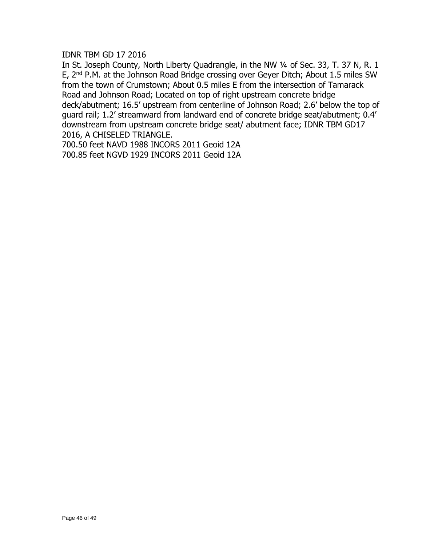IDNR TBM GD 17 2016

In St. Joseph County, North Liberty Quadrangle, in the NW 1/4 of Sec. 33, T. 37 N, R. 1 E, 2nd P.M. at the Johnson Road Bridge crossing over Geyer Ditch; About 1.5 miles SW from the town of Crumstown; About 0.5 miles E from the intersection of Tamarack Road and Johnson Road; Located on top of right upstream concrete bridge deck/abutment; 16.5' upstream from centerline of Johnson Road; 2.6' below the top of guard rail; 1.2' streamward from landward end of concrete bridge seat/abutment; 0.4' downstream from upstream concrete bridge seat/ abutment face; IDNR TBM GD17 2016, A CHISELED TRIANGLE.

700.50 feet NAVD 1988 INCORS 2011 Geoid 12A 700.85 feet NGVD 1929 INCORS 2011 Geoid 12A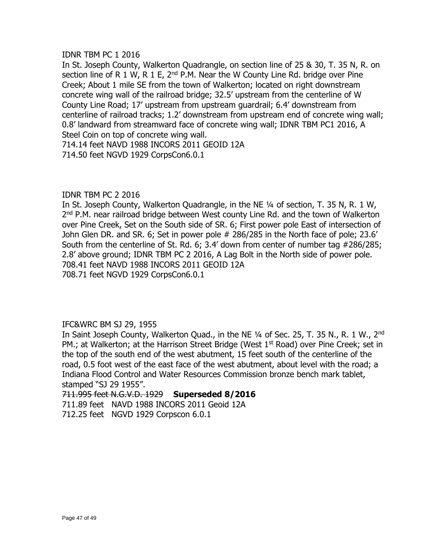# IDNR TBM PC 1 2016

In St. Joseph County, Walkerton Quadrangle, on section line of 25 & 30, T. 35 N, R. on section line of R 1 W, R 1 E,  $2^{nd}$  P.M. Near the W County Line Rd. bridge over Pine Creek; About 1 mile SE from the town of Walkerton; located on right downstream concrete wing wall of the railroad bridge; 32.5' upstream from the centerline of W County Line Road; 17' upstream from upstream guardrail; 6.4' downstream from centerline of railroad tracks; 1.2' downstream from upstream end of concrete wing wall; 0.8' landward from streamward face of concrete wing wall; IDNR TBM PC1 2016, A Steel Coin on top of concrete wing wall. 714.14 feet NAVD 1988 INCORS 2011 GEOID 12A 714.50 feet NGVD 1929 CorpsCon6.0.1

# IDNR TBM PC 2 2016

In St. Joseph County, Walkerton Quadrangle, in the NE ¼ of section, T. 35 N, R. 1 W, 2<sup>nd</sup> P.M. near railroad bridge between West county Line Rd. and the town of Walkerton over Pine Creek, Set on the South side of SR. 6; First power pole East of intersection of John Glen DR. and SR. 6; Set in power pole # 286/285 in the North face of pole; 23.6' South from the centerline of St. Rd. 6; 3.4' down from center of number tag #286/285; 2.8' above ground; IDNR TBM PC 2 2016, A Lag Bolt in the North side of power pole. 708.41 feet NAVD 1988 INCORS 2011 GEOID 12A 708.71 feet NGVD 1929 CorpsCon6.0.1

# IFC&WRC BM SJ 29, 1955

In Saint Joseph County, Walkerton Quad., in the NE 1/4 of Sec. 25, T. 35 N., R. 1 W., 2<sup>nd</sup> PM.; at Walkerton; at the Harrison Street Bridge (West  $1<sup>st</sup>$  Road) over Pine Creek; set in the top of the south end of the west abutment, 15 feet south of the centerline of the road, 0.5 foot west of the east face of the west abutment, about level with the road; a Indiana Flood Control and Water Resources Commission bronze bench mark tablet, stamped "SJ 29 1955".

711.995 feet N.G.V.D. 1929 **Superseded 8/2016**  711.89 feet NAVD 1988 INCORS 2011 Geoid 12A

712.25 feet NGVD 1929 Corpscon 6.0.1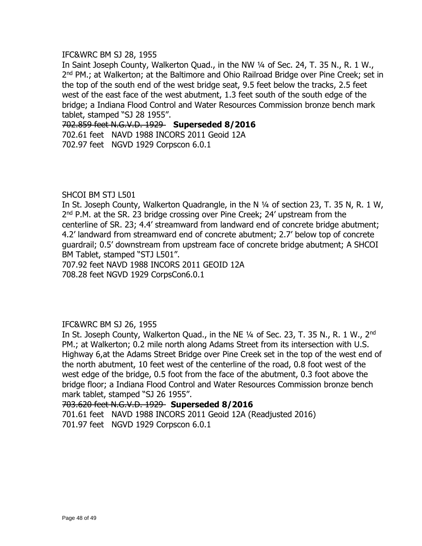#### IFC&WRC BM SJ 28, 1955

In Saint Joseph County, Walkerton Quad., in the NW 1/4 of Sec. 24, T. 35 N., R. 1 W., 2<sup>nd</sup> PM.; at Walkerton; at the Baltimore and Ohio Railroad Bridge over Pine Creek; set in the top of the south end of the west bridge seat, 9.5 feet below the tracks, 2.5 feet west of the east face of the west abutment, 1.3 feet south of the south edge of the bridge; a Indiana Flood Control and Water Resources Commission bronze bench mark tablet, stamped "SJ 28 1955".

702.859 feet N.G.V.D. 1929 **Superseded 8/2016** 702.61 feet NAVD 1988 INCORS 2011 Geoid 12A 702.97 feet NGVD 1929 Corpscon 6.0.1

# SHCOI BM STJ L501

In St. Joseph County, Walkerton Quadrangle, in the N 1/4 of section 23, T. 35 N, R. 1 W, 2<sup>nd</sup> P.M. at the SR. 23 bridge crossing over Pine Creek; 24' upstream from the centerline of SR. 23; 4.4' streamward from landward end of concrete bridge abutment; 4.2' landward from streamward end of concrete abutment; 2.7' below top of concrete guardrail; 0.5' downstream from upstream face of concrete bridge abutment; A SHCOI BM Tablet, stamped "STJ L501".

707.92 feet NAVD 1988 INCORS 2011 GEOID 12A 708.28 feet NGVD 1929 CorpsCon6.0.1

# IFC&WRC BM SJ 26, 1955

In St. Joseph County, Walkerton Quad., in the NE 1/4 of Sec. 23, T. 35 N., R. 1 W., 2<sup>nd</sup> PM.; at Walkerton; 0.2 mile north along Adams Street from its intersection with U.S. Highway 6,at the Adams Street Bridge over Pine Creek set in the top of the west end of the north abutment, 10 feet west of the centerline of the road, 0.8 foot west of the west edge of the bridge, 0.5 foot from the face of the abutment, 0.3 foot above the bridge floor; a Indiana Flood Control and Water Resources Commission bronze bench mark tablet, stamped "SJ 26 1955".

#### 703.620 feet N.G.V.D. 1929 **Superseded 8/2016**

701.61 feet NAVD 1988 INCORS 2011 Geoid 12A (Readjusted 2016) 701.97 feet NGVD 1929 Corpscon 6.0.1